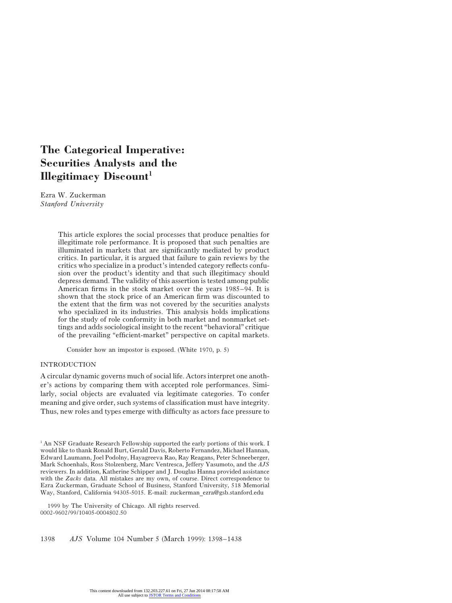# **The Categorical Imperative: Securities Analysts and the Illegitimacy Discount**

Ezra W. Zuckerman *Stanford University*

> This article explores the social processes that produce penalties for illegitimate role performance. It is proposed that such penalties are illuminated in markets that are significantly mediated by product critics. In particular, it is argued that failure to gain reviews by the critics who specialize in a product's intended category reflects confusion over the product's identity and that such illegitimacy should depress demand. The validity of this assertion is tested among public American firms in the stock market over the years 1985–94. It is shown that the stock price of an American firm was discounted to the extent that the firm was not covered by the securities analysts who specialized in its industries. This analysis holds implications for the study of role conformity in both market and nonmarket settings and adds sociological insight to the recent "behavioral" critique of the prevailing "efficient-market" perspective on capital markets.

Consider how an impostor is exposed. (White 1970, p. 5)

#### INTRODUCTION

A circular dynamic governs much of social life. Actors interpret one another's actions by comparing them with accepted role performances. Similarly, social objects are evaluated via legitimate categories. To confer meaning and give order, such systems of classification must have integrity. Thus, new roles and types emerge with difficulty as actors face pressure to

 $1$ <sup>1</sup> An NSF Graduate Research Fellowship supported the early portions of this work. I would like to thank Ronald Burt, Gerald Davis, Roberto Fernandez, Michael Hannan, Edward Laumann, Joel Podolny, Hayagreeva Rao, Ray Reagans, Peter Schneeberger, Mark Schoenhals, Ross Stolzenberg, Marc Ventresca, Jeffery Yasumoto, and the *AJS* reviewers. In addition, Katherine Schipper and J. Douglas Hanna provided assistance with the *Zacks* data. All mistakes are my own, of course. Direct correspondence to Ezra Zuckerman, Graduate School of Business, Stanford University, 518 Memorial Way, Stanford, California 94305-5015. E-mail: zuckerman ezra@gsb.stanford.edu

 1999 by The University of Chicago. All rights reserved. 0002-9602/99/10405-0004\$02.50

1398 *AJS* Volume 104 Number 5 (March 1999): 1398–1438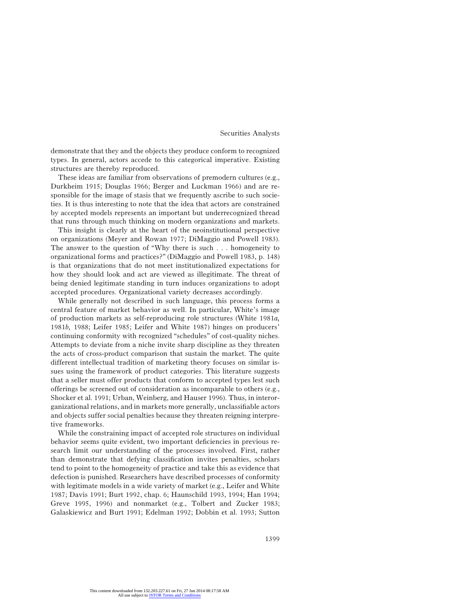demonstrate that they and the objects they produce conform to recognized types. In general, actors accede to this categorical imperative. Existing structures are thereby reproduced.

These ideas are familiar from observations of premodern cultures (e.g., Durkheim 1915; Douglas 1966; Berger and Luckman 1966) and are responsible for the image of stasis that we frequently ascribe to such societies. It is thus interesting to note that the idea that actors are constrained by accepted models represents an important but underrecognized thread that runs through much thinking on modern organizations and markets.

This insight is clearly at the heart of the neoinstitutional perspective on organizations (Meyer and Rowan 1977; DiMaggio and Powell 1983). The answer to the question of "Why there is such . . . homogeneity to organizational forms and practices?" (DiMaggio and Powell 1983, p. 148) is that organizations that do not meet institutionalized expectations for how they should look and act are viewed as illegitimate. The threat of being denied legitimate standing in turn induces organizations to adopt accepted procedures. Organizational variety decreases accordingly.

While generally not described in such language, this process forms a central feature of market behavior as well. In particular, White's image of production markets as self-reproducing role structures (White 1981*a,* 1981*b,* 1988; Leifer 1985; Leifer and White 1987) hinges on producers' continuing conformity with recognized "schedules" of cost-quality niches. Attempts to deviate from a niche invite sharp discipline as they threaten the acts of cross-product comparison that sustain the market. The quite different intellectual tradition of marketing theory focuses on similar issues using the framework of product categories. This literature suggests that a seller must offer products that conform to accepted types lest such offerings be screened out of consideration as incomparable to others (e.g., Shocker et al. 1991; Urban, Weinberg, and Hauser 1996). Thus, in interorganizational relations, and in markets more generally, unclassifiable actors and objects suffer social penalties because they threaten reigning interpretive frameworks.

While the constraining impact of accepted role structures on individual behavior seems quite evident, two important deficiencies in previous research limit our understanding of the processes involved. First, rather than demonstrate that defying classification invites penalties, scholars tend to point to the homogeneity of practice and take this as evidence that defection is punished. Researchers have described processes of conformity with legitimate models in a wide variety of market (e.g., Leifer and White 1987; Davis 1991; Burt 1992, chap. 6; Haunschild 1993, 1994; Han 1994; Greve 1995, 1996) and nonmarket (e.g., Tolbert and Zucker 1983; Galaskiewicz and Burt 1991; Edelman 1992; Dobbin et al. 1993; Sutton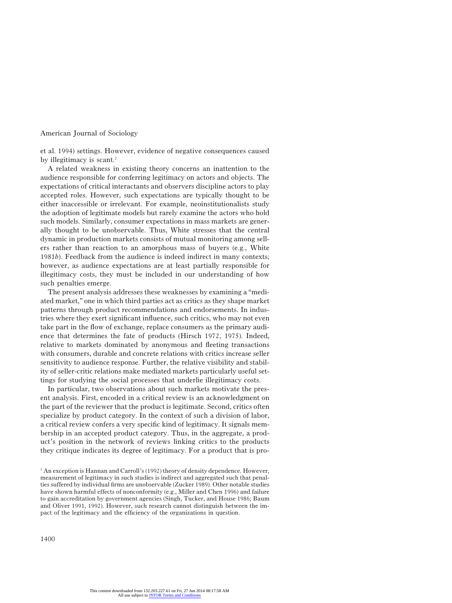et al. 1994) settings. However, evidence of negative consequences caused by illegitimacy is scant.<sup>2</sup>

A related weakness in existing theory concerns an inattention to the audience responsible for conferring legitimacy on actors and objects. The expectations of critical interactants and observers discipline actors to play accepted roles. However, such expectations are typically thought to be either inaccessible or irrelevant. For example, neoinstitutionalists study the adoption of legitimate models but rarely examine the actors who hold such models. Similarly, consumer expectations in mass markets are generally thought to be unobservable. Thus, White stresses that the central dynamic in production markets consists of mutual monitoring among sellers rather than reaction to an amorphous mass of buyers (e.g., White 1981*b*). Feedback from the audience is indeed indirect in many contexts; however, as audience expectations are at least partially responsible for illegitimacy costs, they must be included in our understanding of how such penalties emerge.

The present analysis addresses these weaknesses by examining a "mediated market," one in which third parties act as critics as they shape market patterns through product recommendations and endorsements. In industries where they exert significant influence, such critics, who may not even take part in the flow of exchange, replace consumers as the primary audience that determines the fate of products (Hirsch 1972, 1975). Indeed, relative to markets dominated by anonymous and fleeting transactions with consumers, durable and concrete relations with critics increase seller sensitivity to audience response. Further, the relative visibility and stability of seller-critic relations make mediated markets particularly useful settings for studying the social processes that underlie illegitimacy costs.

In particular, two observations about such markets motivate the present analysis. First, encoded in a critical review is an acknowledgment on the part of the reviewer that the product is legitimate. Second, critics often specialize by product category. In the context of such a division of labor, a critical review confers a very specific kind of legitimacy. It signals membership in an accepted product category. Thus, in the aggregate, a product's position in the network of reviews linking critics to the products they critique indicates its degree of legitimacy. For a product that is pro-

 $^2$  An exception is Hannan and Carroll's (1992) theory of density dependence. However, measurement of legitimacy in such studies is indirect and aggregated such that penalties suffered by individual firms are unobservable (Zucker 1989). Other notable studies have shown harmful effects of nonconformity (e.g., Miller and Chen 1996) and failure to gain accreditation by government agencies (Singh, Tucker, and House 1986; Baum and Oliver 1991, 1992). However, such research cannot distinguish between the impact of the legitimacy and the efficiency of the organizations in question.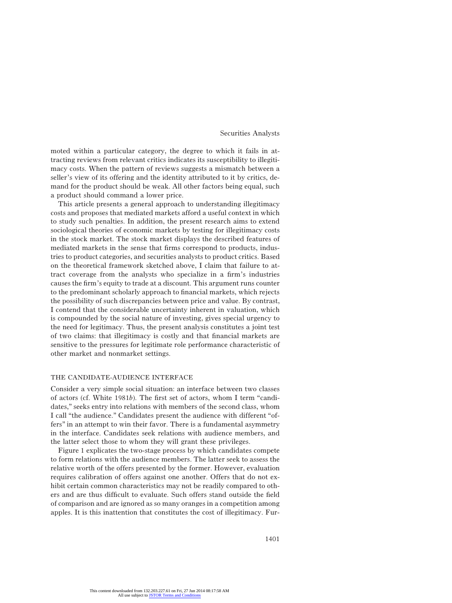moted within a particular category, the degree to which it fails in attracting reviews from relevant critics indicates its susceptibility to illegitimacy costs. When the pattern of reviews suggests a mismatch between a seller's view of its offering and the identity attributed to it by critics, demand for the product should be weak. All other factors being equal, such a product should command a lower price.

This article presents a general approach to understanding illegitimacy costs and proposes that mediated markets afford a useful context in which to study such penalties. In addition, the present research aims to extend sociological theories of economic markets by testing for illegitimacy costs in the stock market. The stock market displays the described features of mediated markets in the sense that firms correspond to products, industries to product categories, and securities analysts to product critics. Based on the theoretical framework sketched above, I claim that failure to attract coverage from the analysts who specialize in a firm's industries causes the firm's equity to trade at a discount. This argument runs counter to the predominant scholarly approach to financial markets, which rejects the possibility of such discrepancies between price and value. By contrast, I contend that the considerable uncertainty inherent in valuation, which is compounded by the social nature of investing, gives special urgency to the need for legitimacy. Thus, the present analysis constitutes a joint test of two claims: that illegitimacy is costly and that financial markets are sensitive to the pressures for legitimate role performance characteristic of other market and nonmarket settings.

# THE CANDIDATE-AUDIENCE INTERFACE

Consider a very simple social situation: an interface between two classes of actors (cf. White 1981*b*). The first set of actors, whom I term "candidates," seeks entry into relations with members of the second class, whom I call "the audience." Candidates present the audience with different "offers" in an attempt to win their favor. There is a fundamental asymmetry in the interface. Candidates seek relations with audience members, and the latter select those to whom they will grant these privileges.

Figure 1 explicates the two-stage process by which candidates compete to form relations with the audience members. The latter seek to assess the relative worth of the offers presented by the former. However, evaluation requires calibration of offers against one another. Offers that do not exhibit certain common characteristics may not be readily compared to others and are thus difficult to evaluate. Such offers stand outside the field of comparison and are ignored as so many oranges in a competition among apples. It is this inattention that constitutes the cost of illegitimacy. Fur-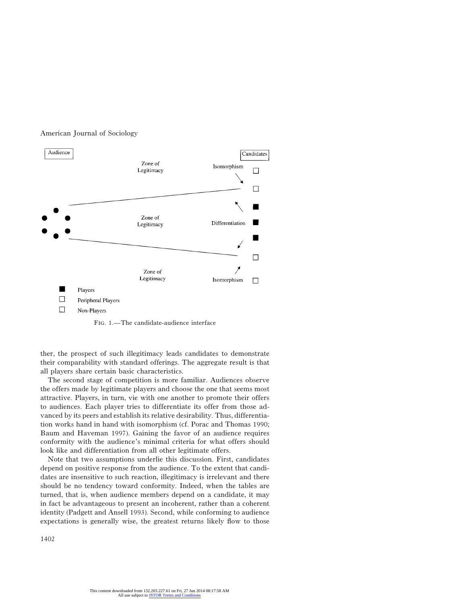

Fig. 1.—The candidate-audience interface

ther, the prospect of such illegitimacy leads candidates to demonstrate their comparability with standard offerings. The aggregate result is that all players share certain basic characteristics.

The second stage of competition is more familiar. Audiences observe the offers made by legitimate players and choose the one that seems most attractive. Players, in turn, vie with one another to promote their offers to audiences. Each player tries to differentiate its offer from those advanced by its peers and establish its relative desirability. Thus, differentiation works hand in hand with isomorphism (cf. Porac and Thomas 1990; Baum and Haveman 1997). Gaining the favor of an audience requires conformity with the audience's minimal criteria for what offers should look like and differentiation from all other legitimate offers.

Note that two assumptions underlie this discussion. First, candidates depend on positive response from the audience. To the extent that candidates are insensitive to such reaction, illegitimacy is irrelevant and there should be no tendency toward conformity. Indeed, when the tables are turned, that is, when audience members depend on a candidate, it may in fact be advantageous to present an incoherent, rather than a coherent identity (Padgett and Ansell 1993). Second, while conforming to audience expectations is generally wise, the greatest returns likely flow to those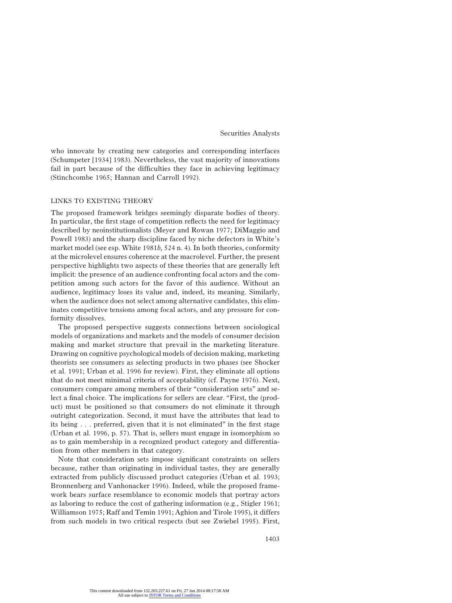who innovate by creating new categories and corresponding interfaces (Schumpeter [1934] 1983). Nevertheless, the vast majority of innovations fail in part because of the difficulties they face in achieving legitimacy (Stinchcombe 1965; Hannan and Carroll 1992).

# LINKS TO EXISTING THEORY

The proposed framework bridges seemingly disparate bodies of theory. In particular, the first stage of competition reflects the need for legitimacy described by neoinstitutionalists (Meyer and Rowan 1977; DiMaggio and Powell 1983) and the sharp discipline faced by niche defectors in White's market model (see esp. White 1981*b,* 524 n. 4). In both theories, conformity at the microlevel ensures coherence at the macrolevel. Further, the present perspective highlights two aspects of these theories that are generally left implicit: the presence of an audience confronting focal actors and the competition among such actors for the favor of this audience. Without an audience, legitimacy loses its value and, indeed, its meaning. Similarly, when the audience does not select among alternative candidates, this eliminates competitive tensions among focal actors, and any pressure for conformity dissolves.

The proposed perspective suggests connections between sociological models of organizations and markets and the models of consumer decision making and market structure that prevail in the marketing literature. Drawing on cognitive psychological models of decision making, marketing theorists see consumers as selecting products in two phases (see Shocker et al. 1991; Urban et al. 1996 for review). First, they eliminate all options that do not meet minimal criteria of acceptability (cf. Payne 1976). Next, consumers compare among members of their "consideration sets" and select a final choice. The implications for sellers are clear. "First, the (product) must be positioned so that consumers do not eliminate it through outright categorization. Second, it must have the attributes that lead to its being . . . preferred, given that it is not eliminated" in the first stage (Urban et al. 1996, p. 57). That is, sellers must engage in isomorphism so as to gain membership in a recognized product category and differentiation from other members in that category.

Note that consideration sets impose significant constraints on sellers because, rather than originating in individual tastes, they are generally extracted from publicly discussed product categories (Urban et al. 1993; Bronnenberg and Vanhonacker 1996). Indeed, while the proposed framework bears surface resemblance to economic models that portray actors as laboring to reduce the cost of gathering information (e.g., Stigler 1961; Williamson 1975; Raff and Temin 1991; Aghion and Tirole 1995), it differs from such models in two critical respects (but see Zwiebel 1995). First,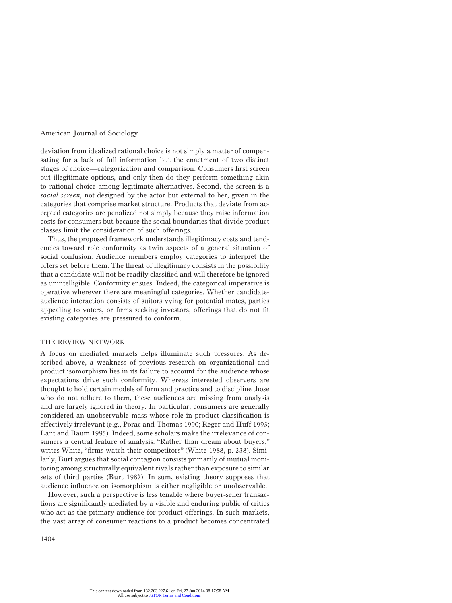deviation from idealized rational choice is not simply a matter of compensating for a lack of full information but the enactment of two distinct stages of choice—categorization and comparison. Consumers first screen out illegitimate options, and only then do they perform something akin to rational choice among legitimate alternatives. Second, the screen is a *social screen,* not designed by the actor but external to her, given in the categories that comprise market structure. Products that deviate from accepted categories are penalized not simply because they raise information costs for consumers but because the social boundaries that divide product classes limit the consideration of such offerings.

Thus, the proposed framework understands illegitimacy costs and tendencies toward role conformity as twin aspects of a general situation of social confusion. Audience members employ categories to interpret the offers set before them. The threat of illegitimacy consists in the possibility that a candidate will not be readily classified and will therefore be ignored as unintelligible. Conformity ensues. Indeed, the categorical imperative is operative wherever there are meaningful categories. Whether candidateaudience interaction consists of suitors vying for potential mates, parties appealing to voters, or firms seeking investors, offerings that do not fit existing categories are pressured to conform.

#### THE REVIEW NETWORK

A focus on mediated markets helps illuminate such pressures. As described above, a weakness of previous research on organizational and product isomorphism lies in its failure to account for the audience whose expectations drive such conformity. Whereas interested observers are thought to hold certain models of form and practice and to discipline those who do not adhere to them, these audiences are missing from analysis and are largely ignored in theory. In particular, consumers are generally considered an unobservable mass whose role in product classification is effectively irrelevant (e.g., Porac and Thomas 1990; Reger and Huff 1993; Lant and Baum 1995). Indeed, some scholars make the irrelevance of consumers a central feature of analysis. "Rather than dream about buyers," writes White, "firms watch their competitors" (White 1988, p. 238). Similarly, Burt argues that social contagion consists primarily of mutual monitoring among structurally equivalent rivals rather than exposure to similar sets of third parties (Burt 1987). In sum, existing theory supposes that audience influence on isomorphism is either negligible or unobservable.

However, such a perspective is less tenable where buyer-seller transactions are significantly mediated by a visible and enduring public of critics who act as the primary audience for product offerings. In such markets, the vast array of consumer reactions to a product becomes concentrated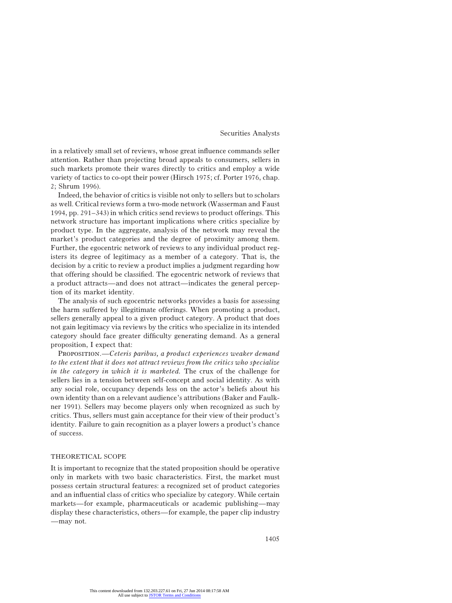in a relatively small set of reviews, whose great influence commands seller attention. Rather than projecting broad appeals to consumers, sellers in such markets promote their wares directly to critics and employ a wide variety of tactics to co-opt their power (Hirsch 1975; cf. Porter 1976, chap. 2; Shrum 1996).

Indeed, the behavior of critics is visible not only to sellers but to scholars as well. Critical reviews form a two-mode network (Wasserman and Faust 1994, pp. 291–343) in which critics send reviews to product offerings. This network structure has important implications where critics specialize by product type. In the aggregate, analysis of the network may reveal the market's product categories and the degree of proximity among them. Further, the egocentric network of reviews to any individual product registers its degree of legitimacy as a member of a category. That is, the decision by a critic to review a product implies a judgment regarding how that offering should be classified. The egocentric network of reviews that a product attracts—and does not attract—indicates the general perception of its market identity.

The analysis of such egocentric networks provides a basis for assessing the harm suffered by illegitimate offerings. When promoting a product, sellers generally appeal to a given product category. A product that does not gain legitimacy via reviews by the critics who specialize in its intended category should face greater difficulty generating demand. As a general proposition, I expect that:

Proposition.—*Ceteris paribus, a product experiences weaker demand to the extent that it does not attract reviews from the critics who specialize in the category in which it is marketed.* The crux of the challenge for sellers lies in a tension between self-concept and social identity. As with any social role, occupancy depends less on the actor's beliefs about his own identity than on a relevant audience's attributions (Baker and Faulkner 1991). Sellers may become players only when recognized as such by critics. Thus, sellers must gain acceptance for their view of their product's identity. Failure to gain recognition as a player lowers a product's chance of success.

# THEORETICAL SCOPE

It is important to recognize that the stated proposition should be operative only in markets with two basic characteristics. First, the market must possess certain structural features: a recognized set of product categories and an influential class of critics who specialize by category. While certain markets—for example, pharmaceuticals or academic publishing—may display these characteristics, others—for example, the paper clip industry —may not.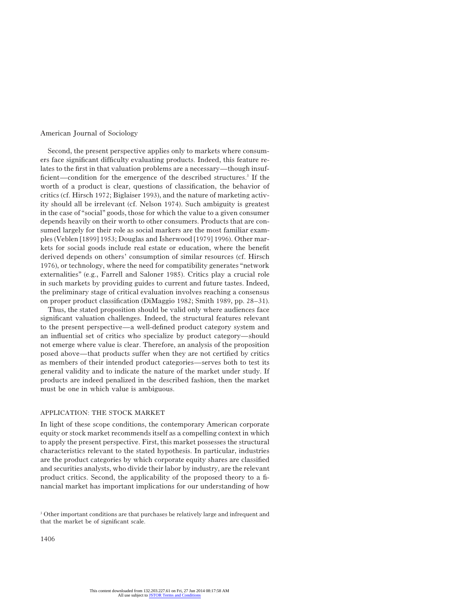Second, the present perspective applies only to markets where consumers face significant difficulty evaluating products. Indeed, this feature relates to the first in that valuation problems are a necessary—though insufficient—condition for the emergence of the described structures.<sup>3</sup> If the worth of a product is clear, questions of classification, the behavior of critics (cf. Hirsch 1972; Biglaiser 1993), and the nature of marketing activity should all be irrelevant (cf. Nelson 1974). Such ambiguity is greatest in the case of "social" goods, those for which the value to a given consumer depends heavily on their worth to other consumers. Products that are consumed largely for their role as social markers are the most familiar examples (Veblen [1899] 1953; Douglas and Isherwood [1979] 1996). Other markets for social goods include real estate or education, where the benefit derived depends on others' consumption of similar resources (cf. Hirsch 1976), or technology, where the need for compatibility generates "network externalities" (e.g., Farrell and Saloner 1985). Critics play a crucial role in such markets by providing guides to current and future tastes. Indeed, the preliminary stage of critical evaluation involves reaching a consensus on proper product classification (DiMaggio 1982; Smith 1989, pp. 28–31).

Thus, the stated proposition should be valid only where audiences face significant valuation challenges. Indeed, the structural features relevant to the present perspective—a well-defined product category system and an influential set of critics who specialize by product category—should not emerge where value is clear. Therefore, an analysis of the proposition posed above—that products suffer when they are not certified by critics as members of their intended product categories—serves both to test its general validity and to indicate the nature of the market under study. If products are indeed penalized in the described fashion, then the market must be one in which value is ambiguous.

# APPLICATION: THE STOCK MARKET

In light of these scope conditions, the contemporary American corporate equity or stock market recommends itself as a compelling context in which to apply the present perspective. First, this market possesses the structural characteristics relevant to the stated hypothesis. In particular, industries are the product categories by which corporate equity shares are classified and securities analysts, who divide their labor by industry, are the relevant product critics. Second, the applicability of the proposed theory to a financial market has important implications for our understanding of how

<sup>&</sup>lt;sup>3</sup> Other important conditions are that purchases be relatively large and infrequent and that the market be of significant scale.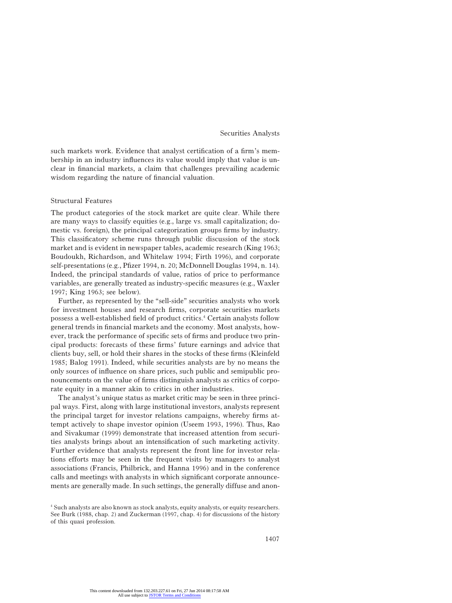such markets work. Evidence that analyst certification of a firm's membership in an industry influences its value would imply that value is unclear in financial markets, a claim that challenges prevailing academic wisdom regarding the nature of financial valuation.

# Structural Features

The product categories of the stock market are quite clear. While there are many ways to classify equities (e.g., large vs. small capitalization; domestic vs. foreign), the principal categorization groups firms by industry. This classificatory scheme runs through public discussion of the stock market and is evident in newspaper tables, academic research (King 1963; Boudoukh, Richardson, and Whitelaw 1994; Firth 1996), and corporate self-presentations (e.g., Pfizer 1994, n. 20; McDonnell Douglas 1994, n. 14). Indeed, the principal standards of value, ratios of price to performance variables, are generally treated as industry-specific measures (e.g., Waxler 1997; King 1963; see below).

Further, as represented by the "sell-side" securities analysts who work for investment houses and research firms, corporate securities markets possess a well-established field of product critics.4 Certain analysts follow general trends in financial markets and the economy. Most analysts, however, track the performance of specific sets of firms and produce two principal products: forecasts of these firms' future earnings and advice that clients buy, sell, or hold their shares in the stocks of these firms (Kleinfeld 1985; Balog 1991). Indeed, while securities analysts are by no means the only sources of influence on share prices, such public and semipublic pronouncements on the value of firms distinguish analysts as critics of corporate equity in a manner akin to critics in other industries.

The analyst's unique status as market critic may be seen in three principal ways. First, along with large institutional investors, analysts represent the principal target for investor relations campaigns, whereby firms attempt actively to shape investor opinion (Useem 1993, 1996). Thus, Rao and Sivakumar (1999) demonstrate that increased attention from securities analysts brings about an intensification of such marketing activity. Further evidence that analysts represent the front line for investor relations efforts may be seen in the frequent visits by managers to analyst associations (Francis, Philbrick, and Hanna 1996) and in the conference calls and meetings with analysts in which significant corporate announcements are generally made. In such settings, the generally diffuse and anon-

<sup>4</sup> Such analysts are also known as stock analysts, equity analysts, or equity researchers. See Burk (1988, chap. 2) and Zuckerman (1997, chap. 4) for discussions of the history of this quasi profession.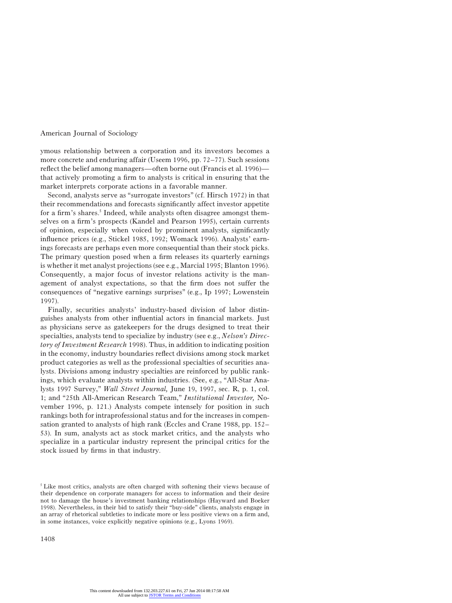ymous relationship between a corporation and its investors becomes a more concrete and enduring affair (Useem 1996, pp. 72–77). Such sessions reflect the belief among managers—often borne out (Francis et al. 1996) that actively promoting a firm to analysts is critical in ensuring that the market interprets corporate actions in a favorable manner.

Second, analysts serve as "surrogate investors" (cf. Hirsch 1972) in that their recommendations and forecasts significantly affect investor appetite for a firm's shares.<sup>5</sup> Indeed, while analysts often disagree amongst themselves on a firm's prospects (Kandel and Pearson 1995), certain currents of opinion, especially when voiced by prominent analysts, significantly influence prices (e.g., Stickel 1985, 1992; Womack 1996). Analysts' earnings forecasts are perhaps even more consequential than their stock picks. The primary question posed when a firm releases its quarterly earnings is whether it met analyst projections (see e.g., Marcial 1995; Blanton 1996). Consequently, a major focus of investor relations activity is the management of analyst expectations, so that the firm does not suffer the consequences of "negative earnings surprises" (e.g., Ip 1997; Lowenstein 1997).

Finally, securities analysts' industry-based division of labor distinguishes analysts from other influential actors in financial markets. Just as physicians serve as gatekeepers for the drugs designed to treat their specialties, analysts tend to specialize by industry (see e.g., *Nelson's Directory of Investment Research* 1998). Thus, in addition to indicating position in the economy, industry boundaries reflect divisions among stock market product categories as well as the professional specialties of securities analysts. Divisions among industry specialties are reinforced by public rankings, which evaluate analysts within industries. (See, e.g., "All-Star Analysts 1997 Survey," *Wall Street Journal,* June 19, 1997, sec. R, p. 1, col. 1; and "25th All-American Research Team," *Institutional Investor,* November 1996, p. 121.) Analysts compete intensely for position in such rankings both for intraprofessional status and for the increases in compensation granted to analysts of high rank (Eccles and Crane 1988, pp. 152– 53). In sum, analysts act as stock market critics, and the analysts who specialize in a particular industry represent the principal critics for the stock issued by firms in that industry.

<sup>&</sup>lt;sup>5</sup> Like most critics, analysts are often charged with softening their views because of their dependence on corporate managers for access to information and their desire not to damage the house's investment banking relationships (Hayward and Boeker 1998). Nevertheless, in their bid to satisfy their "buy-side" clients, analysts engage in an array of rhetorical subtleties to indicate more or less positive views on a firm and, in some instances, voice explicitly negative opinions (e.g., Lyons 1969).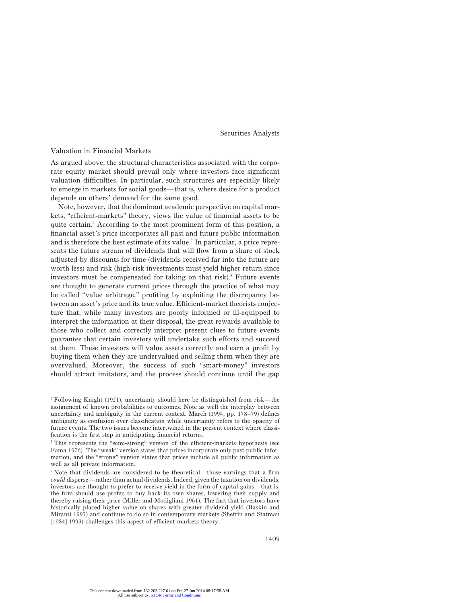# Valuation in Financial Markets

As argued above, the structural characteristics associated with the corporate equity market should prevail only where investors face significant valuation difficulties. In particular, such structures are especially likely to emerge in markets for social goods—that is, where desire for a product depends on others' demand for the same good.

Note, however, that the dominant academic perspective on capital markets, "efficient-markets" theory, views the value of financial assets to be quite certain.<sup> $6$ </sup> According to the most prominent form of this position, a financial asset's price incorporates all past and future public information and is therefore the best estimate of its value.<sup>7</sup> In particular, a price represents the future stream of dividends that will flow from a share of stock adjusted by discounts for time (dividends received far into the future are worth less) and risk (high-risk investments must yield higher return since investors must be compensated for taking on that risk). $8$  Future events are thought to generate current prices through the practice of what may be called "value arbitrage," profiting by exploiting the discrepancy between an asset's price and its true value. Efficient-market theorists conjecture that, while many investors are poorly informed or ill-equipped to interpret the information at their disposal, the great rewards available to those who collect and correctly interpret present clues to future events guarantee that certain investors will undertake such efforts and succeed at them. These investors will value assets correctly and earn a profit by buying them when they are undervalued and selling them when they are overvalued. Moreover, the success of such "smart-money" investors should attract imitators, and the process should continue until the gap

<sup>6</sup> Following Knight (1921), uncertainty should here be distinguished from risk—the assignment of known probabilities to outcomes. Note as well the interplay between uncertainty and ambiguity in the current context. March (1994, pp. 178–79) defines ambiguity as confusion over classification while uncertainty refers to the opacity of future events. The two issues become intertwined in the present context where classification is the first step in anticipating financial returns.

<sup>7</sup> This represents the "semi-strong" version of the efficient-markets hypothesis (see Fama 1976). The "weak" version states that prices incorporate only past public information, and the "strong" version states that prices include all public information as well as all private information.

<sup>8</sup> Note that dividends are considered to be theoretical—those earnings that a firm *could* disperse—rather than actual dividends. Indeed, given the taxation on dividends, investors are thought to prefer to receive yield in the form of capital gains—that is, the firm should use profits to buy back its own shares, lowering their supply and thereby raising their price (Miller and Modigliani 1961). The fact that investors have historically placed higher value on shares with greater dividend yield (Baskin and Miranti 1997) and continue to do so in contemporary markets (Shefrin and Statman [1984] 1993) challenges this aspect of efficient-markets theory.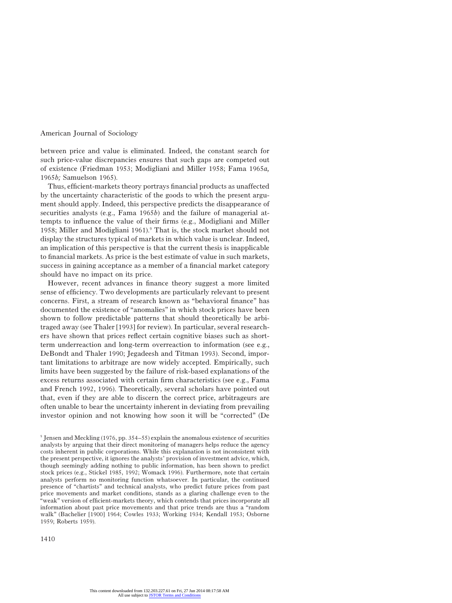between price and value is eliminated. Indeed, the constant search for such price-value discrepancies ensures that such gaps are competed out of existence (Friedman 1953; Modigliani and Miller 1958; Fama 1965*a,* 1965*b;* Samuelson 1965).

Thus, efficient-markets theory portrays financial products as unaffected by the uncertainty characteristic of the goods to which the present argument should apply. Indeed, this perspective predicts the disappearance of securities analysts (e.g., Fama 1965*b*) and the failure of managerial attempts to influence the value of their firms (e.g., Modigliani and Miller 1958; Miller and Modigliani 1961).<sup>9</sup> That is, the stock market should not display the structures typical of markets in which value is unclear. Indeed, an implication of this perspective is that the current thesis is inapplicable to financial markets. As price is the best estimate of value in such markets, success in gaining acceptance as a member of a financial market category should have no impact on its price.

However, recent advances in finance theory suggest a more limited sense of efficiency. Two developments are particularly relevant to present concerns. First, a stream of research known as "behavioral finance" has documented the existence of "anomalies" in which stock prices have been shown to follow predictable patterns that should theoretically be arbitraged away (see Thaler [1993] for review). In particular, several researchers have shown that prices reflect certain cognitive biases such as shortterm underreaction and long-term overreaction to information (see e.g., DeBondt and Thaler 1990; Jegadeesh and Titman 1993). Second, important limitations to arbitrage are now widely accepted. Empirically, such limits have been suggested by the failure of risk-based explanations of the excess returns associated with certain firm characteristics (see e.g., Fama and French 1992, 1996). Theoretically, several scholars have pointed out that, even if they are able to discern the correct price, arbitrageurs are often unable to bear the uncertainty inherent in deviating from prevailing investor opinion and not knowing how soon it will be "corrected" (De

<sup>9</sup> Jensen and Meckling (1976, pp. 354–55) explain the anomalous existence of securities analysts by arguing that their direct monitoring of managers helps reduce the agency costs inherent in public corporations. While this explanation is not inconsistent with the present perspective, it ignores the analysts' provision of investment advice, which, though seemingly adding nothing to public information, has been shown to predict stock prices (e.g., Stickel 1985, 1992; Womack 1996). Furthermore, note that certain analysts perform no monitoring function whatsoever. In particular, the continued presence of "chartists" and technical analysts, who predict future prices from past price movements and market conditions, stands as a glaring challenge even to the "weak" version of efficient-markets theory, which contends that prices incorporate all information about past price movements and that price trends are thus a "random walk" (Bachelier [1900] 1964; Cowles 1933; Working 1934; Kendall 1953; Osborne 1959; Roberts 1959).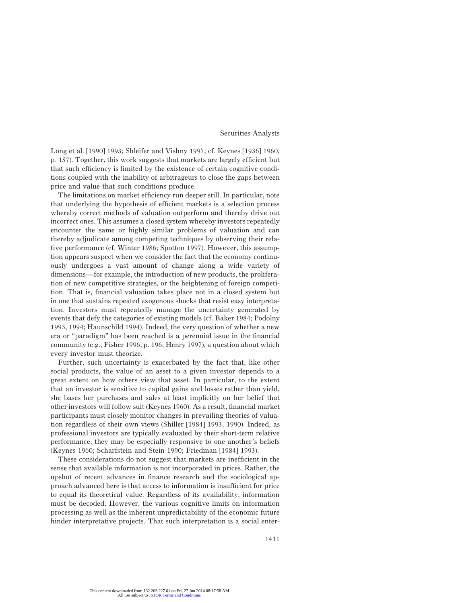Long et al. [1990] 1993; Shleifer and Vishny 1997; cf. Keynes [1936] 1960, p. 157). Together, this work suggests that markets are largely efficient but that such efficiency is limited by the existence of certain cognitive conditions coupled with the inability of arbitrageurs to close the gaps between price and value that such conditions produce.

The limitations on market efficiency run deeper still. In particular, note that underlying the hypothesis of efficient markets is a selection process whereby correct methods of valuation outperform and thereby drive out incorrect ones. This assumes a closed system whereby investors repeatedly encounter the same or highly similar problems of valuation and can thereby adjudicate among competing techniques by observing their relative performance (cf. Winter 1986; Spotton 1997). However, this assumption appears suspect when we consider the fact that the economy continuously undergoes a vast amount of change along a wide variety of dimensions—for example, the introduction of new products, the proliferation of new competitive strategies, or the heightening of foreign competition. That is, financial valuation takes place not in a closed system but in one that sustains repeated exogenous shocks that resist easy interpretation. Investors must repeatedly manage the uncertainty generated by events that defy the categories of existing models (cf. Baker 1984; Podolny 1993, 1994; Haunschild 1994). Indeed, the very question of whether a new era or "paradigm" has been reached is a perennial issue in the financial community (e.g., Fisher 1996, p. 196; Henry 1997), a question about which every investor must theorize.

Further, such uncertainty is exacerbated by the fact that, like other social products, the value of an asset to a given investor depends to a great extent on how others view that asset. In particular, to the extent that an investor is sensitive to capital gains and losses rather than yield, she bases her purchases and sales at least implicitly on her belief that other investors will follow suit (Keynes 1960). As a result, financial market participants must closely monitor changes in prevailing theories of valuation regardless of their own views (Shiller [1984] 1993, 1990). Indeed, as professional investors are typically evaluated by their short-term relative performance, they may be especially responsive to one another's beliefs (Keynes 1960; Scharfstein and Stein 1990; Friedman [1984] 1993).

These considerations do not suggest that markets are inefficient in the sense that available information is not incorporated in prices. Rather, the upshot of recent advances in finance research and the sociological approach advanced here is that access to information is insufficient for price to equal its theoretical value. Regardless of its availability, information must be decoded. However, the various cognitive limits on information processing as well as the inherent unpredictability of the economic future hinder interpretative projects. That such interpretation is a social enter-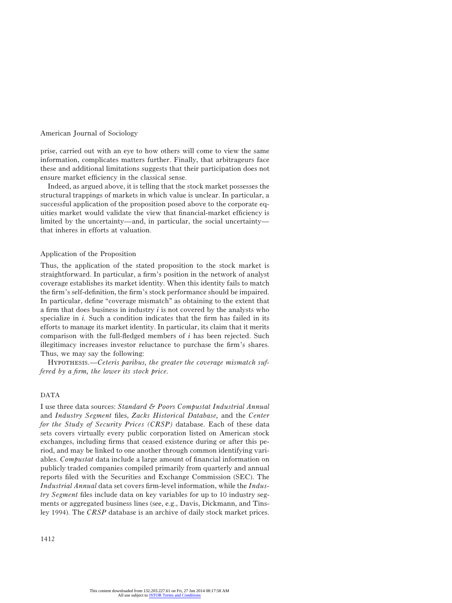prise, carried out with an eye to how others will come to view the same information, complicates matters further. Finally, that arbitrageurs face these and additional limitations suggests that their participation does not ensure market efficiency in the classical sense.

Indeed, as argued above, it is telling that the stock market possesses the structural trappings of markets in which value is unclear. In particular, a successful application of the proposition posed above to the corporate equities market would validate the view that financial-market efficiency is limited by the uncertainty—and, in particular, the social uncertainty that inheres in efforts at valuation.

# Application of the Proposition

Thus, the application of the stated proposition to the stock market is straightforward. In particular, a firm's position in the network of analyst coverage establishes its market identity. When this identity fails to match the firm's self-definition, the firm's stock performance should be impaired. In particular, define "coverage mismatch" as obtaining to the extent that a firm that does business in industry *i* is not covered by the analysts who specialize in *i.* Such a condition indicates that the firm has failed in its efforts to manage its market identity. In particular, its claim that it merits comparison with the full-fledged members of *i* has been rejected. Such illegitimacy increases investor reluctance to purchase the firm's shares. Thus, we may say the following:

Hypothesis.—*Ceteris paribus, the greater the coverage mismatch suffered by a firm, the lower its stock price.*

#### DATA

I use three data sources: *Standard & Poors Compustat Industrial Annual* and *Industry Segment* files, *Zacks Historical Database,* and the *Center for the Study of Security Prices (CRSP)* database. Each of these data sets covers virtually every public corporation listed on American stock exchanges, including firms that ceased existence during or after this period, and may be linked to one another through common identifying variables. *Compustat* data include a large amount of financial information on publicly traded companies compiled primarily from quarterly and annual reports filed with the Securities and Exchange Commission (SEC). The *Industrial Annual* data set covers firm-level information, while the *Industry Segment* files include data on key variables for up to 10 industry segments or aggregated business lines (see, e.g., Davis, Dickmann, and Tinsley 1994). The *CRSP* database is an archive of daily stock market prices.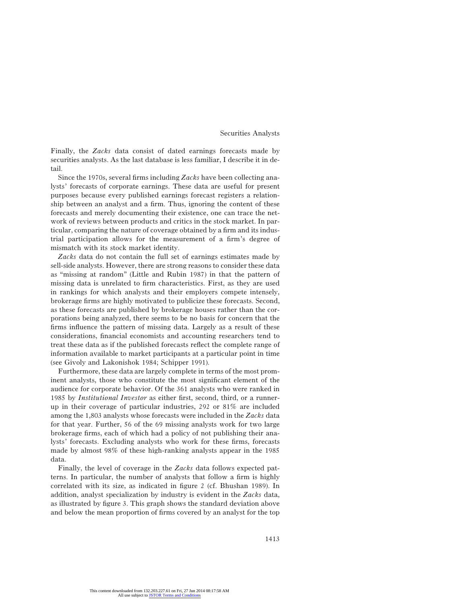Finally, the *Zacks* data consist of dated earnings forecasts made by securities analysts. As the last database is less familiar, I describe it in detail.

Since the 1970s, several firms including *Zacks* have been collecting analysts' forecasts of corporate earnings. These data are useful for present purposes because every published earnings forecast registers a relationship between an analyst and a firm. Thus, ignoring the content of these forecasts and merely documenting their existence, one can trace the network of reviews between products and critics in the stock market. In particular, comparing the nature of coverage obtained by a firm and its industrial participation allows for the measurement of a firm's degree of mismatch with its stock market identity.

*Zacks* data do not contain the full set of earnings estimates made by sell-side analysts. However, there are strong reasons to consider these data as "missing at random" (Little and Rubin 1987) in that the pattern of missing data is unrelated to firm characteristics. First, as they are used in rankings for which analysts and their employers compete intensely, brokerage firms are highly motivated to publicize these forecasts. Second, as these forecasts are published by brokerage houses rather than the corporations being analyzed, there seems to be no basis for concern that the firms influence the pattern of missing data. Largely as a result of these considerations, financial economists and accounting researchers tend to treat these data as if the published forecasts reflect the complete range of information available to market participants at a particular point in time (see Givoly and Lakonishok 1984; Schipper 1991).

Furthermore, these data are largely complete in terms of the most prominent analysts, those who constitute the most significant element of the audience for corporate behavior. Of the 361 analysts who were ranked in 1985 by *Institutional Investor* as either first, second, third, or a runnerup in their coverage of particular industries, 292 or 81% are included among the 1,803 analysts whose forecasts were included in the *Zacks* data for that year. Further, 56 of the 69 missing analysts work for two large brokerage firms, each of which had a policy of not publishing their analysts' forecasts. Excluding analysts who work for these firms, forecasts made by almost 98% of these high-ranking analysts appear in the 1985 data.

Finally, the level of coverage in the *Zacks* data follows expected patterns. In particular, the number of analysts that follow a firm is highly correlated with its size, as indicated in figure 2 (cf. Bhushan 1989). In addition, analyst specialization by industry is evident in the *Zacks* data, as illustrated by figure 3. This graph shows the standard deviation above and below the mean proportion of firms covered by an analyst for the top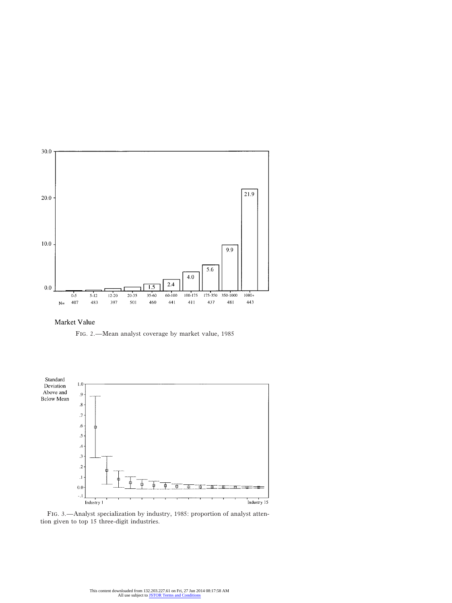

Market Value

Fig. 2.—Mean analyst coverage by market value, 1985



Fig. 3.—Analyst specialization by industry, 1985: proportion of analyst attention given to top 15 three-digit industries.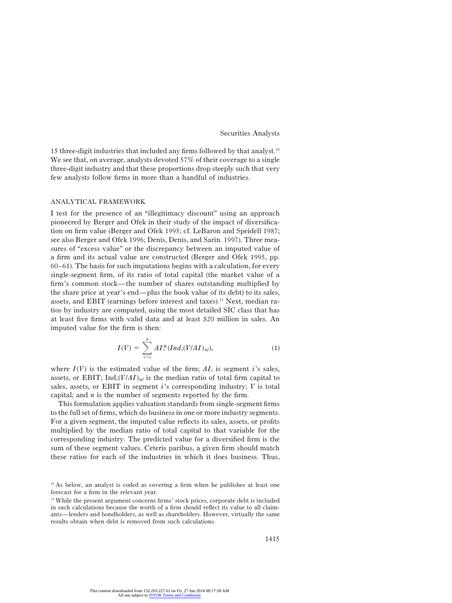15 three-digit industries that included any firms followed by that analyst.10 We see that, on average, analysts devoted 57% of their coverage to a single three-digit industry and that these proportions drop steeply such that very few analysts follow firms in more than a handful of industries.

#### ANALYTICAL FRAMEWORK

I test for the presence of an "illegitimacy discount" using an approach pioneered by Berger and Ofek in their study of the impact of diversification on firm value (Berger and Ofek 1995; cf. LeBaron and Speidell 1987; see also Berger and Ofek 1996; Denis, Denis, and Sarin. 1997). Three measures of "excess value" or the discrepancy between an imputed value of a firm and its actual value are constructed (Berger and Ofek 1995, pp. 60–61). The basis for such imputations begins with a calculation, for every single-segment firm, of its ratio of total capital (the market value of a firm's common stock—the number of shares outstanding multiplied by the share price at year's end—plus the book value of its debt) to its sales, assets, and EBIT (earnings before interest and taxes).<sup>11</sup> Next, median ratios by industry are computed, using the most detailed SIC class that has at least five firms with valid data and at least \$20 million in sales. An imputed value for the firm is then:

$$
I(V) = \sum_{i=1}^{n} A I_{i}^{*} (Ind_{i}(V/AI)_{m}f), \qquad (1)
$$

where  $I(V)$  is the estimated value of the firm;  $AI_i$  is segment *i*'s sales, assets, or EBIT;  $\text{Ind}_i(V/AI)_{mf}$  is the median ratio of total firm capital to sales, assets, or EBIT in segment *i*'s corresponding industry; *V* is total capital; and *n* is the number of segments reported by the firm.

This formulation applies valuation standards from single-segment firms to the full set of firms, which do business in one or more industry segments. For a given segment, the imputed value reflects its sales, assets, or profits multiplied by the median ratio of total capital to that variable for the corresponding industry. The predicted value for a diversified firm is the sum of these segment values. Ceteris paribus, a given firm should match these ratios for each of the industries in which it does business. Thus,

 $10$  As below, an analyst is coded as covering a firm when he publishes at least one forecast for a firm in the relevant year.

<sup>&</sup>lt;sup>11</sup> While the present argument concerns firms' stock prices, corporate debt is included in such calculations because the worth of a firm should reflect its value to all claimants—lenders and bondholders, as well as shareholders. However, virtually the same results obtain when debt is removed from such calculations.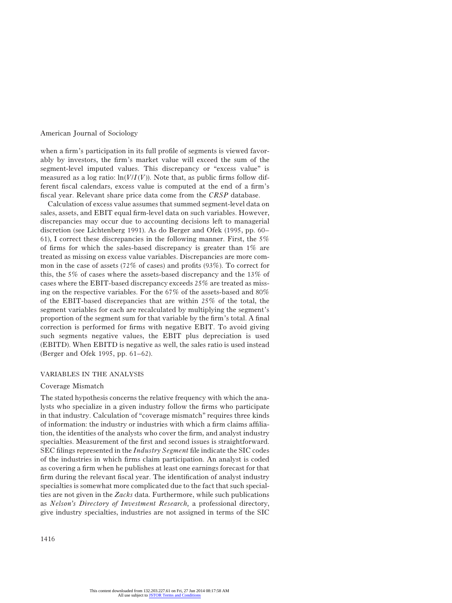when a firm's participation in its full profile of segments is viewed favorably by investors, the firm's market value will exceed the sum of the segment-level imputed values. This discrepancy or "excess value" is measured as a log ratio:  $\ln(V/I(V))$ . Note that, as public firms follow different fiscal calendars, excess value is computed at the end of a firm's fiscal year. Relevant share price data come from the *CRSP* database.

Calculation of excess value assumes that summed segment-level data on sales, assets, and EBIT equal firm-level data on such variables. However, discrepancies may occur due to accounting decisions left to managerial discretion (see Lichtenberg 1991). As do Berger and Ofek (1995, pp. 60– 61), I correct these discrepancies in the following manner. First, the 5% of firms for which the sales-based discrepancy is greater than  $1\%$  are treated as missing on excess value variables. Discrepancies are more common in the case of assets (72% of cases) and profits (93%). To correct for this, the 5% of cases where the assets-based discrepancy and the 13% of cases where the EBIT-based discrepancy exceeds 25% are treated as missing on the respective variables. For the 67% of the assets-based and 80% of the EBIT-based discrepancies that are within 25% of the total, the segment variables for each are recalculated by multiplying the segment's proportion of the segment sum for that variable by the firm's total. A final correction is performed for firms with negative EBIT. To avoid giving such segments negative values, the EBIT plus depreciation is used (EBITD). When EBITD is negative as well, the sales ratio is used instead (Berger and Ofek 1995, pp. 61–62).

# VARIABLES IN THE ANALYSIS

# Coverage Mismatch

The stated hypothesis concerns the relative frequency with which the analysts who specialize in a given industry follow the firms who participate in that industry. Calculation of "coverage mismatch" requires three kinds of information: the industry or industries with which a firm claims affiliation, the identities of the analysts who cover the firm, and analyst industry specialties. Measurement of the first and second issues is straightforward. SEC filings represented in the *Industry Segment* file indicate the SIC codes of the industries in which firms claim participation. An analyst is coded as covering a firm when he publishes at least one earnings forecast for that firm during the relevant fiscal year. The identification of analyst industry specialties is somewhat more complicated due to the fact that such specialties are not given in the *Zacks* data. Furthermore, while such publications as *Nelson's Directory of Investment Research,* a professional directory, give industry specialties, industries are not assigned in terms of the SIC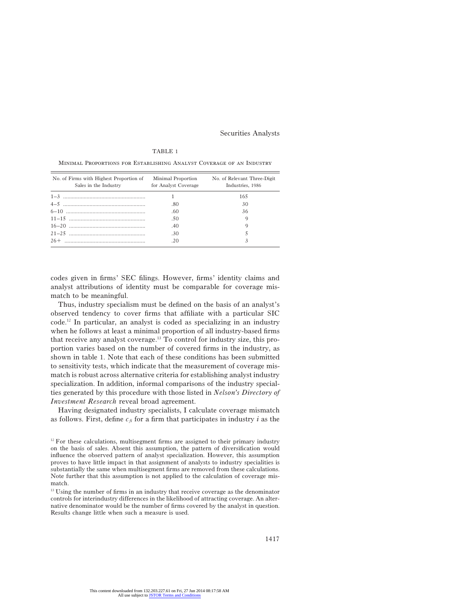#### TABLE 1

| No. of Firms with Highest Proportion of<br>Sales in the Industry | Minimal Proportion<br>for Analyst Coverage | No. of Relevant Three-Digit<br>Industries, 1986 |
|------------------------------------------------------------------|--------------------------------------------|-------------------------------------------------|
|                                                                  |                                            | 165                                             |
|                                                                  | .80                                        | 30                                              |
|                                                                  | .60                                        | 36                                              |
|                                                                  | .50                                        | Q                                               |
|                                                                  | .40                                        | 9                                               |
|                                                                  | .30                                        |                                                 |
|                                                                  | .20                                        |                                                 |

Minimal Proportions for Establishing Analyst Coverage of an Industry

codes given in firms' SEC filings. However, firms' identity claims and analyst attributions of identity must be comparable for coverage mismatch to be meaningful.

Thus, industry specialism must be defined on the basis of an analyst's observed tendency to cover firms that affiliate with a particular SIC code.12 In particular, an analyst is coded as specializing in an industry when he follows at least a minimal proportion of all industry-based firms that receive any analyst coverage.13 To control for industry size, this proportion varies based on the number of covered firms in the industry, as shown in table 1. Note that each of these conditions has been submitted to sensitivity tests, which indicate that the measurement of coverage mismatch is robust across alternative criteria for establishing analyst industry specialization. In addition, informal comparisons of the industry specialties generated by this procedure with those listed in *Nelson's Directory of Investment Research* reveal broad agreement.

Having designated industry specialists, I calculate coverage mismatch as follows. First, define  $c_{\tilde{h}}$  for a firm that participates in industry *i* as the

 $12$  For these calculations, multisegment firms are assigned to their primary industry on the basis of sales. Absent this assumption, the pattern of diversification would influence the observed pattern of analyst specialization. However, this assumption proves to have little impact in that assignment of analysts to industry specialities is substantially the same when multisegment firms are removed from these calculations. Note further that this assumption is not applied to the calculation of coverage mismatch.

<sup>&</sup>lt;sup>13</sup> Using the number of firms in an industry that receive coverage as the denominator controls for interindustry differences in the likelihood of attracting coverage. An alternative denominator would be the number of firms covered by the analyst in question. Results change little when such a measure is used.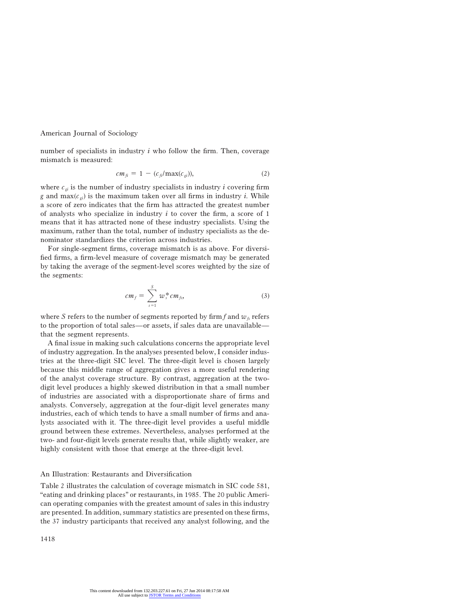number of specialists in industry *i* who follow the firm. Then, coverage mismatch is measured:

$$
cm_{fi} = 1 - (c_{fi}/\text{max}(c_{gi})), \qquad (2)
$$

where  $c_{qi}$  is the number of industry specialists in industry  $i$  covering firm *g* and  $max(c_{qi})$  is the maximum taken over all firms in industry *i*. While a score of zero indicates that the firm has attracted the greatest number of analysts who specialize in industry *i* to cover the firm, a score of 1 means that it has attracted none of these industry specialists. Using the maximum, rather than the total, number of industry specialists as the denominator standardizes the criterion across industries.

For single-segment firms, coverage mismatch is as above. For diversified firms, a firm-level measure of coverage mismatch may be generated by taking the average of the segment-level scores weighted by the size of the segments:

$$
cm_f = \sum_{s=1}^{S} w_s^* cm_{fs}, \qquad (3)
$$

where *S* refers to the number of segments reported by firm  $f$  and  $w<sub>f</sub>$  refers to the proportion of total sales—or assets, if sales data are unavailable that the segment represents.

A final issue in making such calculations concerns the appropriate level of industry aggregation. In the analyses presented below, I consider industries at the three-digit SIC level. The three-digit level is chosen largely because this middle range of aggregation gives a more useful rendering of the analyst coverage structure. By contrast, aggregation at the twodigit level produces a highly skewed distribution in that a small number of industries are associated with a disproportionate share of firms and analysts. Conversely, aggregation at the four-digit level generates many industries, each of which tends to have a small number of firms and analysts associated with it. The three-digit level provides a useful middle ground between these extremes. Nevertheless, analyses performed at the two- and four-digit levels generate results that, while slightly weaker, are highly consistent with those that emerge at the three-digit level.

# An Illustration: Restaurants and Diversification

Table 2 illustrates the calculation of coverage mismatch in SIC code 581, "eating and drinking places" or restaurants, in 1985. The 20 public American operating companies with the greatest amount of sales in this industry are presented. In addition, summary statistics are presented on these firms, the 37 industry participants that received any analyst following, and the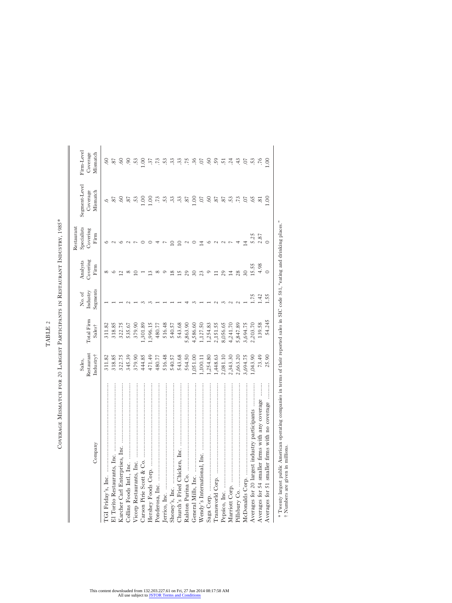| Firm-Level<br>Coverage<br>Mismatch            | 60<br>37         | 60        | $\infty$         | S.      | .37      | $\ddot{5}$ | 53     | 33     | $\ddot{3}$ | .75      | .36      | $\overline{O}$ . | <b>SO</b> | .59      | $\overline{51}$ | .24      | 43       | $50$ .          | .53      |                                                 | 00.1                                                                              |
|-----------------------------------------------|------------------|-----------|------------------|---------|----------|------------|--------|--------|------------|----------|----------|------------------|-----------|----------|-----------------|----------|----------|-----------------|----------|-------------------------------------------------|-----------------------------------------------------------------------------------|
| Segment-Level<br>Coverage<br>Mismatch         | 57<br>ڢ          | <b>SO</b> | .87<br>53        | 00.1    | 1.00     | .73        | 53     | 33     | 33         | 18.      | 1.00     | 50               | .60       | .87      | 37              | 53       | .73      | CO.             | 55       | $\sim$                                          | $00$ .                                                                            |
| Specialists<br>Restaurant<br>Covering<br>Firm |                  |           |                  |         |          |            |        |        |            |          |          |                  |           |          |                 |          |          | 4               | 5.25     | 2.87                                            |                                                                                   |
| Covering<br>Analysts<br>Firm                  |                  |           |                  |         |          |            |        |        |            |          |          |                  |           |          |                 | 보        | 28       | $\overline{30}$ | 15.55    | 4.98                                            | $\circ$                                                                           |
| Segments<br>Industry<br>No. of                |                  |           |                  |         |          |            |        |        |            |          |          |                  |           |          |                 |          |          |                 | 1.75     | 1.42                                            | 1.55                                                                              |
| Total Firm<br>Sales <sup>†</sup>              | 318.85<br>311.82 | 322.75    | 379.90<br>535.67 | ,301.89 | 1,996.15 | 480.77     | 516.48 | 540.57 | 543.68     | 5,863.90 | 1,586.60 | 1,127.50         | 1,254.83  | 2,151.55 | 8,056.65        | 1,241.70 | 5,847.89 | 8,694.75        | 03.70    | 139.58                                          | 54.245                                                                            |
| Restaurant<br>Industry†<br>Sales,             | 311.82<br>318.85 | 322.75    | 379.90<br>345.39 | 444.85  | 471.49   | 480.77     | 516.48 | 540.57 | 543.68     | 564.50   | 1,051.00 | ,100.11          | ,254.80   | ,448.63  | 2,081.10        | 2,343.30 | 2,663.20 | 3,694.75        | 1,043.90 | 73.49                                           | 25.90                                                                             |
| Company                                       |                  |           |                  |         |          |            |        |        |            |          |          |                  |           |          |                 |          |          |                 |          | Averages for 54 smaller firms with any coverage | .<br>.<br>.<br>.<br>.<br>.<br>.<br>Averages for 51 smaller firms with no coverage |

COVERAGE MISMATCH FOR 20 LARGEST PARTICIPANTS IN RESTAURANT INDUSTRY, 1985\* Coverage Mismatch for 20 Largest Participants in Restaurant Industry, 1985\*

TABLE 2

TABLE  $\it 2$ 

\* Twenty largest public American operating companies in terms of their reported sales in SIC code 581, "eating and drinking places."<br>† Numbers are given in millions. \* Twenty largest public American operating companies in terms of their reported sales in SIC code 581, "eating and drinking places." † Numbers are given in millions.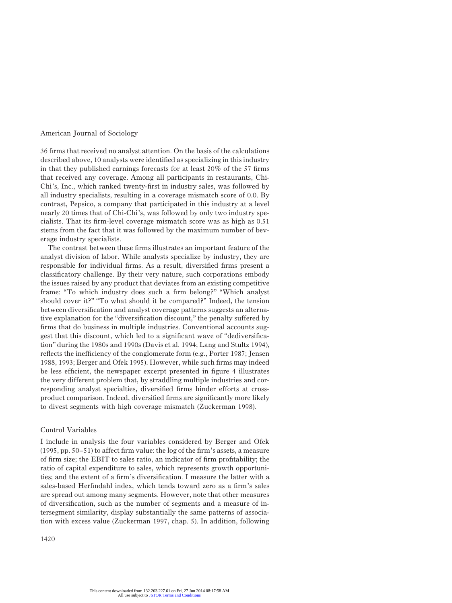36 firms that received no analyst attention. On the basis of the calculations described above, 10 analysts were identified as specializing in this industry in that they published earnings forecasts for at least 20% of the 57 firms that received any coverage. Among all participants in restaurants, Chi-Chi's, Inc., which ranked twenty-first in industry sales, was followed by all industry specialists, resulting in a coverage mismatch score of 0.0. By contrast, Pepsico, a company that participated in this industry at a level nearly 20 times that of Chi-Chi's, was followed by only two industry specialists. That its firm-level coverage mismatch score was as high as 0.51 stems from the fact that it was followed by the maximum number of beverage industry specialists.

The contrast between these firms illustrates an important feature of the analyst division of labor. While analysts specialize by industry, they are responsible for individual firms. As a result, diversified firms present a classificatory challenge. By their very nature, such corporations embody the issues raised by any product that deviates from an existing competitive frame: "To which industry does such a firm belong?" "Which analyst should cover it?" "To what should it be compared?" Indeed, the tension between diversification and analyst coverage patterns suggests an alternative explanation for the "diversification discount," the penalty suffered by firms that do business in multiple industries. Conventional accounts suggest that this discount, which led to a significant wave of "dediversification" during the 1980s and 1990s (Davis et al. 1994; Lang and Stultz 1994), reflects the inefficiency of the conglomerate form (e.g., Porter 1987; Jensen 1988, 1993; Berger and Ofek 1995). However, while such firms may indeed be less efficient, the newspaper excerpt presented in figure 4 illustrates the very different problem that, by straddling multiple industries and corresponding analyst specialties, diversified firms hinder efforts at crossproduct comparison. Indeed, diversified firms are significantly more likely to divest segments with high coverage mismatch (Zuckerman 1998).

# Control Variables

I include in analysis the four variables considered by Berger and Ofek (1995, pp. 50–51) to affect firm value: the log of the firm's assets, a measure of firm size; the EBIT to sales ratio, an indicator of firm profitability; the ratio of capital expenditure to sales, which represents growth opportunities; and the extent of a firm's diversification. I measure the latter with a sales-based Herfindahl index, which tends toward zero as a firm's sales are spread out among many segments. However, note that other measures of diversification, such as the number of segments and a measure of intersegment similarity, display substantially the same patterns of association with excess value (Zuckerman 1997, chap. 5). In addition, following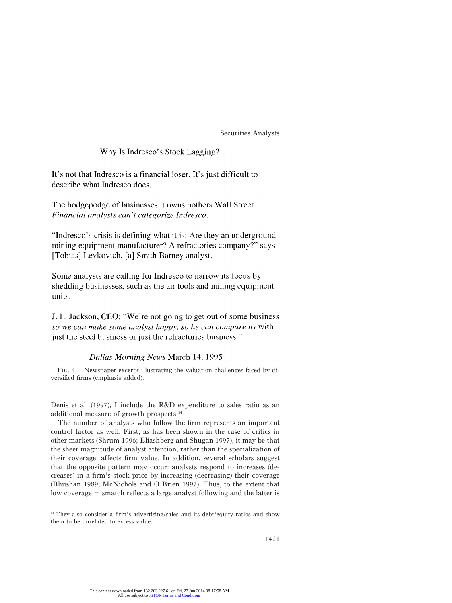# Why Is Indresco's Stock Lagging?

It's not that Indresco is a financial loser. It's just difficult to describe what Indresco does.

The hodgepodge of businesses it owns bothers Wall Street. Financial analysts can't categorize Indresco.

"Indresco's crisis is defining what it is: Are they an underground mining equipment manufacturer? A refractories company?" says [Tobias] Levkovich, [a] Smith Barney analyst.

Some analysts are calling for Indresco to narrow its focus by shedding businesses, such as the air tools and mining equipment units.

J. L. Jackson, CEO: "We're not going to get out of some business so we can make some analyst happy, so he can compare us with just the steel business or just the refractories business."

# Dallas Morning News March 14, 1995

Fig. 4.—Newspaper excerpt illustrating the valuation challenges faced by diversified firms (emphasis added).

Denis et al. (1997), I include the R&D expenditure to sales ratio as an additional measure of growth prospects.14

The number of analysts who follow the firm represents an important control factor as well. First, as has been shown in the case of critics in other markets (Shrum 1996; Eliashberg and Shugan 1997), it may be that the sheer magnitude of analyst attention, rather than the specialization of their coverage, affects firm value. In addition, several scholars suggest that the opposite pattern may occur: analysts respond to increases (decreases) in a firm's stock price by increasing (decreasing) their coverage (Bhushan 1989; McNichols and O'Brien 1997). Thus, to the extent that low coverage mismatch reflects a large analyst following and the latter is

<sup>&</sup>lt;sup>14</sup> They also consider a firm's advertising/sales and its debt/equity ratios and show them to be unrelated to excess value.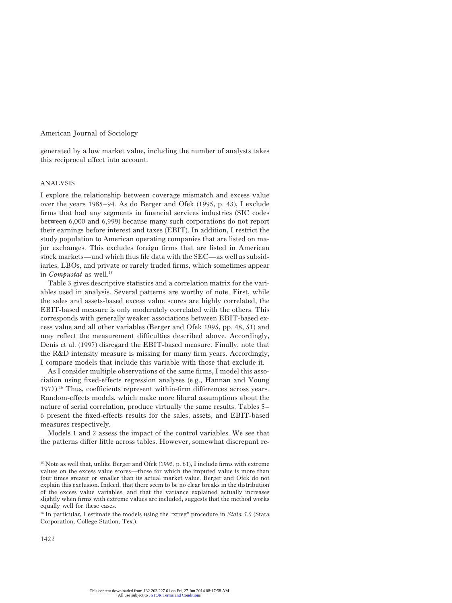generated by a low market value, including the number of analysts takes this reciprocal effect into account.

#### ANALYSIS

I explore the relationship between coverage mismatch and excess value over the years 1985–94. As do Berger and Ofek (1995, p. 43), I exclude firms that had any segments in financial services industries (SIC codes between 6,000 and 6,999) because many such corporations do not report their earnings before interest and taxes (EBIT). In addition, I restrict the study population to American operating companies that are listed on major exchanges. This excludes foreign firms that are listed in American stock markets—and which thus file data with the SEC—as well as subsidiaries, LBOs, and private or rarely traded firms, which sometimes appear in *Compustat* as well.<sup>15</sup>

Table 3 gives descriptive statistics and a correlation matrix for the variables used in analysis. Several patterns are worthy of note. First, while the sales and assets-based excess value scores are highly correlated, the EBIT-based measure is only moderately correlated with the others. This corresponds with generally weaker associations between EBIT-based excess value and all other variables (Berger and Ofek 1995, pp. 48, 51) and may reflect the measurement difficulties described above. Accordingly, Denis et al. (1997) disregard the EBIT-based measure. Finally, note that the R&D intensity measure is missing for many firm years. Accordingly, I compare models that include this variable with those that exclude it.

As I consider multiple observations of the same firms, I model this association using fixed-effects regression analyses (e.g., Hannan and Young 1977).16 Thus, coefficients represent within-firm differences across years. Random-effects models, which make more liberal assumptions about the nature of serial correlation, produce virtually the same results. Tables 5– 6 present the fixed-effects results for the sales, assets, and EBIT-based measures respectively.

Models 1 and 2 assess the impact of the control variables. We see that the patterns differ little across tables. However, somewhat discrepant re-

<sup>16</sup> In particular, I estimate the models using the "xtreg" procedure in *Stata 5.0* (Stata Corporation, College Station, Tex.).

<sup>&</sup>lt;sup>15</sup> Note as well that, unlike Berger and Ofek (1995, p. 61), I include firms with extreme values on the excess value scores—those for which the imputed value is more than four times greater or smaller than its actual market value. Berger and Ofek do not explain this exclusion. Indeed, that there seem to be no clear breaks in the distribution of the excess value variables, and that the variance explained actually increases slightly when firms with extreme values are included, suggests that the method works equally well for these cases.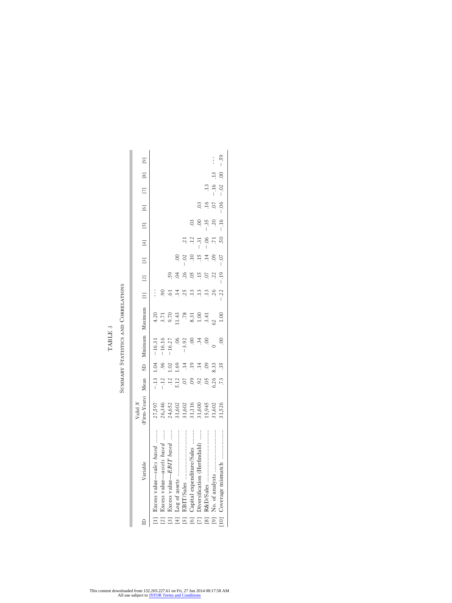|                |                              | Valid $N$                                            |                |      |          |      |        |       |         |         |                              |     |                   |                |
|----------------|------------------------------|------------------------------------------------------|----------------|------|----------|------|--------|-------|---------|---------|------------------------------|-----|-------------------|----------------|
|                | Variable                     | (Firm-Years) Mean SD Minimum Maximum [1] [1] [3] [3] |                |      |          |      |        |       |         |         |                              |     | $[6]$ $[7]$ $[8]$ | $\overline{6}$ |
|                | [1] Excess value—sales based | 27,597                                               | $-.13$ 1.04    |      | $-16.31$ | 4.20 |        |       |         |         |                              |     |                   |                |
| $\overline{c}$ | Excess value—assets based    | 26,346                                               | $-12$          |      | $-16.16$ | 3.71 |        |       |         |         |                              |     |                   |                |
| $\boxed{3}$    | Excess value-EBIT based      |                                                      |                |      | $-16.27$ | 9.70 |        |       |         |         |                              |     |                   |                |
| $[4]$          |                              |                                                      | 5.12           |      | 06       | 1.43 |        |       |         |         |                              |     |                   |                |
| $\overline{5}$ |                              |                                                      |                |      | $-3.92$  | .78  | .25    |       |         |         |                              |     |                   |                |
| $[6]$          | apital expenditure/Sales     | 24,652<br>31,602<br>31,116<br>31,116<br>31,600       | $\ddot{\circ}$ |      |          | 8.31 |        |       |         |         |                              |     |                   |                |
| E              | iversification (Herfindahl)  |                                                      |                |      | .34      | 1.00 |        |       |         | $-31$   |                              | 3   |                   |                |
| $^{[8]}$       |                              | 15,945                                               | SO.            |      | $\odot$  | 3.41 |        |       |         | $-0.06$ | $-35$                        |     | $\frac{13}{2}$    |                |
| $[9]$          |                              | 31,602                                               | 6.26           | 8.33 |          | 62   | .26    | .22   |         |         | $\overline{0}$               | 0.0 | $-16$             | $\vdots$       |
| $[10]$         |                              | 81,526                                               | $\frac{1}{3}$  |      | $\rm{C}$ | 1.00 | $-.22$ | $-19$ | $-0.07$ |         | $-16 - 00$ . 00. 00. 00. 59. |     |                   |                |

SUMMARY STATISTICS AND CORRELATIONS SUMMARY STATISTICS AND CORRELATIONS TABLE  $\boldsymbol{3}$ 

TABLE 3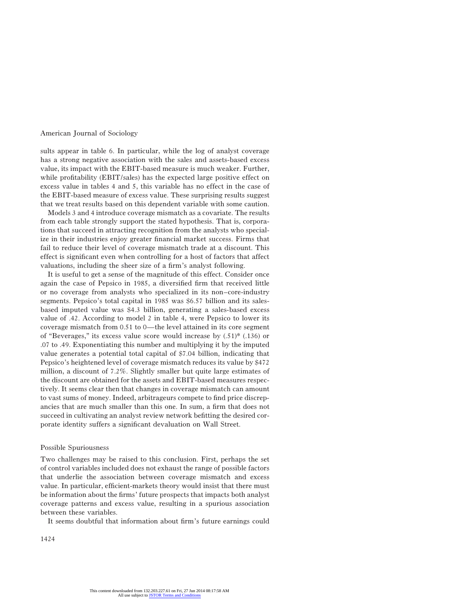sults appear in table 6. In particular, while the log of analyst coverage has a strong negative association with the sales and assets-based excess value, its impact with the EBIT-based measure is much weaker. Further, while profitability (EBIT/sales) has the expected large positive effect on excess value in tables 4 and 5, this variable has no effect in the case of the EBIT-based measure of excess value. These surprising results suggest that we treat results based on this dependent variable with some caution.

Models 3 and 4 introduce coverage mismatch as a covariate. The results from each table strongly support the stated hypothesis. That is, corporations that succeed in attracting recognition from the analysts who specialize in their industries enjoy greater financial market success. Firms that fail to reduce their level of coverage mismatch trade at a discount. This effect is significant even when controlling for a host of factors that affect valuations, including the sheer size of a firm's analyst following.

It is useful to get a sense of the magnitude of this effect. Consider once again the case of Pepsico in 1985, a diversified firm that received little or no coverage from analysts who specialized in its non–core-industry segments. Pepsico's total capital in 1985 was \$6.57 billion and its salesbased imputed value was \$4.3 billion, generating a sales-based excess value of .42. According to model 2 in table 4, were Pepsico to lower its coverage mismatch from 0.51 to 0—the level attained in its core segment of "Beverages," its excess value score would increase by  $(.51)$ \*  $(.136)$  or .07 to .49. Exponentiating this number and multiplying it by the imputed value generates a potential total capital of \$7.04 billion, indicating that Pepsico's heightened level of coverage mismatch reduces its value by \$472 million, a discount of 7.2%. Slightly smaller but quite large estimates of the discount are obtained for the assets and EBIT-based measures respectively. It seems clear then that changes in coverage mismatch can amount to vast sums of money. Indeed, arbitrageurs compete to find price discrepancies that are much smaller than this one. In sum, a firm that does not succeed in cultivating an analyst review network befitting the desired corporate identity suffers a significant devaluation on Wall Street.

#### Possible Spuriousness

Two challenges may be raised to this conclusion. First, perhaps the set of control variables included does not exhaust the range of possible factors that underlie the association between coverage mismatch and excess value. In particular, efficient-markets theory would insist that there must be information about the firms' future prospects that impacts both analyst coverage patterns and excess value, resulting in a spurious association between these variables.

It seems doubtful that information about firm's future earnings could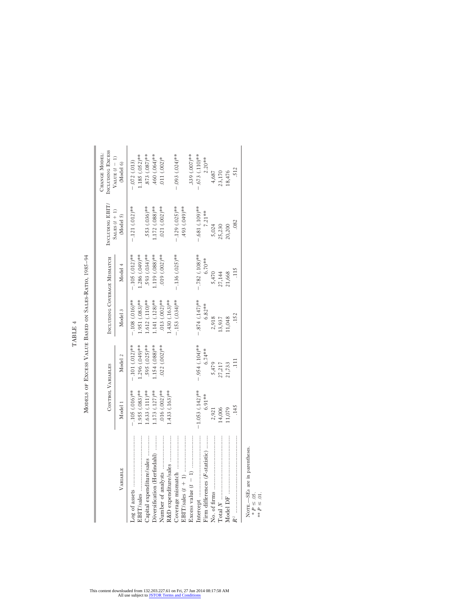TABLE 4 TABLE 4

MODELS OF EXCESS VALUE BASED ON SALES-RATIO, 1985-94 Models of Excess Value Based on Sales-Ratio, 1985–94

|                                                                   | <b>CONTROL VARIABLES</b> |                   | INCLUDING COVERAGE MISMATCH |                     | INCLUDING EBIT               | INCLUDING EXCESS<br>CHANGE MODEL: |
|-------------------------------------------------------------------|--------------------------|-------------------|-----------------------------|---------------------|------------------------------|-----------------------------------|
| VARIABLE                                                          | Model 1                  | Model 2           | Model 3                     | Model 4             | SALES $(t + 1)$<br>(Model 5) | VALUE $(t - 1)$<br>(Model 6)      |
|                                                                   | $-105$ $(.016)**$        | $-.101(012)*$     | $-.108(.016)**$             | $-.105(012)$ **     | $-.121(.012)**$              | $-.072(.013)$                     |
|                                                                   | $.955(.083)$ **          | ** (.049) 96      | $.951(.083)$ **             | $.286(.049)$ **     |                              | $1.185(0.052)$ **                 |
| Capital expenditure/sales                                         | $.633(111)$ **           | .595 (.025)**     | $.612(110)$ **              | .593 (.034)**       | 553 (.036)**                 | $.873(0.087)$ **                  |
| Diversification (Herfindahl)                                      | $.173$ $(.127)$ **       | $.154(.088)**$    | $.141(.128)$ **             | $.119(088)*$        | $1.172(0.088)$ **            | 460 (.064)**                      |
|                                                                   | $.016(.002)$ **          | $022(002)**$      | $.013(002)$ **              | $019(002)$ **       | 021 (.002)**                 | 011 $(.002)^*$                    |
| R&D expenditure/sales                                             | $1.433$ $(.163)$ **      |                   | $.430(.163)$ **             |                     |                              |                                   |
|                                                                   |                          |                   | $-153(034)$ **              | $-.136$ $(.025)$ ** | $-.129(.025)*$               | $-0.03$ $(0.024)$ **              |
|                                                                   |                          |                   |                             |                     | 493 (.049)**                 |                                   |
|                                                                   |                          |                   |                             |                     |                              | $.339(007)$ **                    |
|                                                                   | $-1.053$ (.142)**        | $-0.954$ (.104)** | $-874$ (.147)**             | $-.782(.108)**$     | $-.681(.109)**$              | $.673(.110)**$                    |
| Firm differences ( <i>F</i> -statistic)                           | $6.91***$                | $6.74***$         | $6.82***$                   | $6.70**$            | 7.21**                       | $2.20***$                         |
|                                                                   | 2,921                    | 5,479             | 2,918                       | 5,470               | 5,024                        | 4,687                             |
|                                                                   | 14,006                   | 27,217            | 13,937                      | 27,144              | 25,230                       | 23,170                            |
|                                                                   | 11,079                   | 21,733            | 11,048                      | 21,668              | 20,200                       | 18,476                            |
|                                                                   | .145                     | $\Xi$             | .152                        | 115                 | .082                         | .512                              |
| NOTE.-SEs are in parentheses.<br>$* P \le 05.$<br>** $P \le 01$ . |                          |                   |                             |                     |                              |                                   |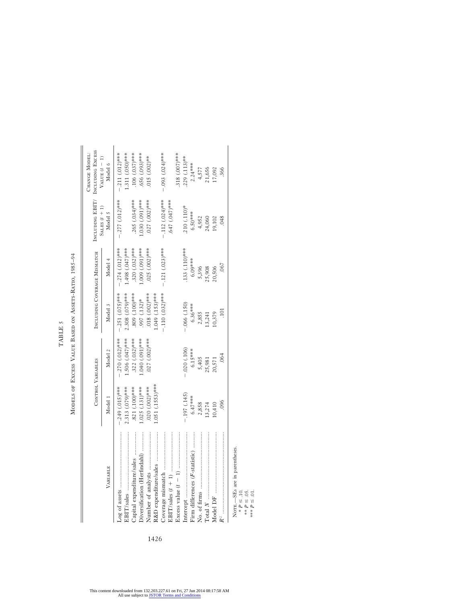MODELS OF EXCESS VALUE BASED ON ASSETS-RATIO, 1985-94 Models of Excess Value Based on Assets-Ratio, 1985–94

TABLE 5

 $\operatorname{TABLE}$  5

|                                                                             | <b>CONTROL VARIABLES</b> |                  | INCLUDING COVERAGE MISMATCH |                        | INCLUDING EBIT/            | INCLUDING EXCESS<br>CHANGE MODEL: |
|-----------------------------------------------------------------------------|--------------------------|------------------|-----------------------------|------------------------|----------------------------|-----------------------------------|
| VARIABLE                                                                    | Model 1                  | Model 2          | Model 3                     | Model 4                | SALES $(t + 1)$<br>Model 5 | VALUE $(t - 1)$<br>Model 6        |
|                                                                             | $-0.249(0.15)$ ***       | $-.270(.012)***$ | $-.251(.075)***$            | $-.274(.012)***$       | $-0.277(012)$ ***          | $-.211(.012)**$                   |
| <br>EBIT/sales                                                              | 2.313 (.079)***          | .506 (.047)***   | 2.308 (.079)***             | 1.498 (.047)***        |                            | 1.311 (.050)***                   |
| :/sales ………………<br>Capital expenditure                                       | $.821(.100)$ ***         | $.322(.032)^***$ | 809 (.100)***               | $.320(032)$ ***        | $.265$ (.034)***           | 106 (.037)***                     |
| Diversification (Herfindahl)                                                | $.025(.131)$ ***         | 1.040 (.091)***  | 997 (.132)*                 | .000 (0.001) ***       | 1.030 (.091)***            | 656 (.093)***                     |
| Number of analysts                                                          | $0.020$ $(0.002)$ **     | .027 (.002)***   | $018(002)$ ***              | $.025$ $(.002)$ ***    | $027 (002)^{***}$          | $015(002)*$                       |
|                                                                             | $1.051(.1553)***$        |                  | $.049(.153)***$             |                        |                            |                                   |
| Coverage mismatch                                                           |                          |                  | $-110(032)$ ***             | $-0.121$ $(0.023)$ *** | $-.112(.024)***$           | $-0.03$ $(0.024)$ ***             |
| EBIT/sales $(t + 1)$                                                        |                          |                  |                             |                        | $.647(047)$ ***            |                                   |
| Excess value $(t - 1)$                                                      |                          |                  |                             |                        |                            | 318 (.007)***                     |
| Intercept                                                                   | $-.197(.145)$            | $-.020(.106)$    | $-066(.150)$                | 133 (.110)***          | $.210(.110)*$              | $.229(.113)**$                    |
| Firm differences ( <i>F</i> -statistic)                                     | $6.47***$                | $6.15***$        | $6.36***$                   | 6.09***                | $6.50***$                  | $2.24***$                         |
|                                                                             | 2,858                    | 5,405            | 2,855                       | 5,396                  |                            |                                   |
|                                                                             | 13,274                   | 25,981           | 13,241                      | 25,908                 | 4,952<br>24,060            | 4,577<br>21,656                   |
|                                                                             | 10,410                   | 20,571           | 10,379                      | 20,506                 | 19,102                     | 17,092                            |
| $R^i$ , and an analyzing and an analyzing and an analyzing $\overline{R}^i$ | .096                     | .064             | $\Xi$                       | .067                   | .048                       | .366                              |
| parentheses                                                                 |                          |                  |                             |                        |                            |                                   |
| NOTE.—SEs are in<br>* $P \leq .10$ .                                        |                          |                  |                             |                        |                            |                                   |
| ** $P \le .05$ .                                                            |                          |                  |                             |                        |                            |                                   |
| $***P\leq .01$                                                              |                          |                  |                             |                        |                            |                                   |

1426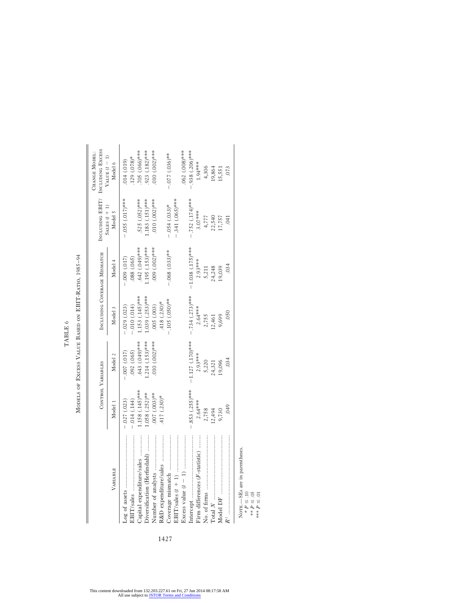TABLE  $6\,$ TABLE 6

MODELS OF EXCESS VALUE BASED ON EBIT-RATIO, 1985-94 Models of Excess Value Based on EBIT-Ratio, 1985–94

|                                              |                   | <b>CONTROL VARIABLES</b> |                      | INCLUDING COVERAGE MISMATCH | INCLUDING EBIT/<br>SALES $(t + 1)$ | INCLUDING EXCESS<br>CHANGE MODEL:<br>VALUE $(t - 1)$ |
|----------------------------------------------|-------------------|--------------------------|----------------------|-----------------------------|------------------------------------|------------------------------------------------------|
| VARIABLE                                     | Model 1           | Model 2                  | Model 3              | Model 4                     | Model 5                            | Model 6                                              |
|                                              | $-0.027(023)$     | (0.17)                   | $-.029(.023)$        | $-0.009(0.017)$             | $-0.055(0.17)$ ***                 | 014 (.019)                                           |
| EBIT/sales ………………………………                      | $-.014(.144)$     | .092(.065)               | $-.010(.014)$        | 088 (.065)                  |                                    | 129 (.078)*                                          |
| Capital expenditure/sales                    | $158(.145)$ ***   | $643$ $(049)$ ***        | $1.153(145)$ ***     | $.642(049)$ ***             | 525 (.052)***                      | 705 (.066)***                                        |
| Diversification (Herfindahl)                 | $.058(.252)$ **   | $.214(.153)***$          | $1.039(0.253)$ ***   | $1.195(153)$ ***            | $.183(.151)^{***}$                 | $923(182)$ ***                                       |
|                                              | $.007(003)$ **    | $010(002)$ ***           | .005(.003)           | 009 (002)***                | $0.0010$ $(0.002)$ ***             | $010(000)***$                                        |
|                                              | $.417(.230)*$     |                          | $.418(.230)*$        |                             |                                    |                                                      |
|                                              |                   |                          | $-105(050)$ **       | $-0.068$ $(0.033)$ **       | $-.054(.033)*$                     | $-0.036$ <sup>**</sup>                               |
|                                              |                   |                          |                      |                             | $-.341(.065)$ ***                  |                                                      |
|                                              |                   |                          |                      |                             |                                    | 062 (.008)***                                        |
|                                              | $-.853(.255)*$ ** | $-1.127(0)$ ***          | $-0.734$ $(.273)***$ | $-1.038$ $(.175)$ ***       | $-.752(.174)***$                   | $-0.38$ $(0.206)$ ***                                |
| Firm differences (F-statistic)               | $2.64***$         | $2.93***$                | $2.64***$            | $2.93***$                   | $3.07***$                          | 1.94***                                              |
|                                              | 2,758             |                          | 2,755                | 5,211                       |                                    | 4,306                                                |
|                                              | 12,494            | 5,220<br>24,321          | 12,461               | 24,248                      | $4,777$<br>$22,540$<br>$17,757$    | 19,864                                               |
|                                              | 9,730             | 19,096                   | 9,699                | 19,039                      |                                    | 15,551                                               |
|                                              | .049              | 034                      | 050                  | 034                         | $\overline{0}$                     | .073                                                 |
|                                              |                   |                          |                      |                             |                                    |                                                      |
| NOTE.-SEs are in parentheses<br>$P \leq .10$ |                   |                          |                      |                             |                                    |                                                      |
| $**$ $P \leq .05$                            |                   |                          |                      |                             |                                    |                                                      |
| $P \le 0.1$                                  |                   |                          |                      |                             |                                    |                                                      |

1427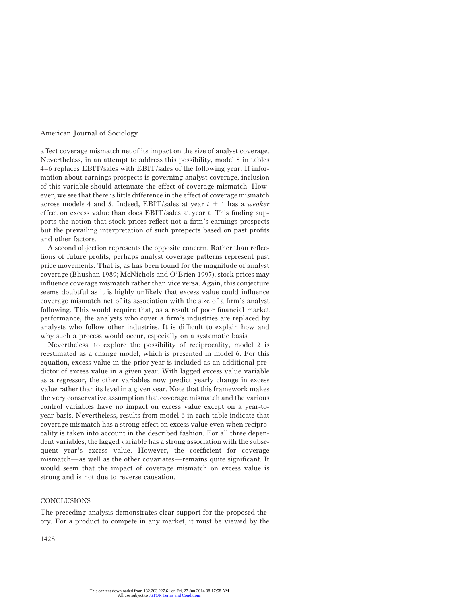affect coverage mismatch net of its impact on the size of analyst coverage. Nevertheless, in an attempt to address this possibility, model 5 in tables 4–6 replaces EBIT/sales with EBIT/sales of the following year. If information about earnings prospects is governing analyst coverage, inclusion of this variable should attenuate the effect of coverage mismatch. However, we see that there is little difference in the effect of coverage mismatch across models 4 and 5. Indeed, EBIT/sales at year *t* 1 1 has a *weaker* effect on excess value than does EBIT/sales at year *t.* This finding supports the notion that stock prices reflect not a firm's earnings prospects but the prevailing interpretation of such prospects based on past profits and other factors.

A second objection represents the opposite concern. Rather than reflections of future profits, perhaps analyst coverage patterns represent past price movements. That is, as has been found for the magnitude of analyst coverage (Bhushan 1989; McNichols and O'Brien 1997), stock prices may influence coverage mismatch rather than vice versa. Again, this conjecture seems doubtful as it is highly unlikely that excess value could influence coverage mismatch net of its association with the size of a firm's analyst following. This would require that, as a result of poor financial market performance, the analysts who cover a firm's industries are replaced by analysts who follow other industries. It is difficult to explain how and why such a process would occur, especially on a systematic basis.

Nevertheless, to explore the possibility of reciprocality, model 2 is reestimated as a change model, which is presented in model 6. For this equation, excess value in the prior year is included as an additional predictor of excess value in a given year. With lagged excess value variable as a regressor, the other variables now predict yearly change in excess value rather than its level in a given year. Note that this framework makes the very conservative assumption that coverage mismatch and the various control variables have no impact on excess value except on a year-toyear basis. Nevertheless, results from model 6 in each table indicate that coverage mismatch has a strong effect on excess value even when reciprocality is taken into account in the described fashion. For all three dependent variables, the lagged variable has a strong association with the subsequent year's excess value. However, the coefficient for coverage mismatch—as well as the other covariates—remains quite significant. It would seem that the impact of coverage mismatch on excess value is strong and is not due to reverse causation.

#### **CONCLUSIONS**

The preceding analysis demonstrates clear support for the proposed theory. For a product to compete in any market, it must be viewed by the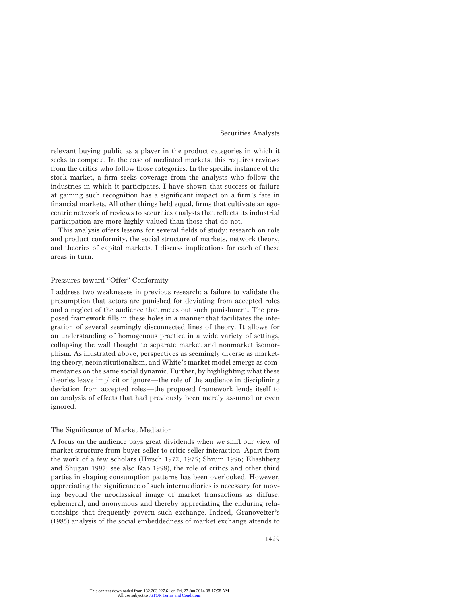relevant buying public as a player in the product categories in which it seeks to compete. In the case of mediated markets, this requires reviews from the critics who follow those categories. In the specific instance of the stock market, a firm seeks coverage from the analysts who follow the industries in which it participates. I have shown that success or failure at gaining such recognition has a significant impact on a firm's fate in financial markets. All other things held equal, firms that cultivate an egocentric network of reviews to securities analysts that reflects its industrial participation are more highly valued than those that do not.

This analysis offers lessons for several fields of study: research on role and product conformity, the social structure of markets, network theory, and theories of capital markets. I discuss implications for each of these areas in turn.

# Pressures toward "Offer" Conformity

I address two weaknesses in previous research: a failure to validate the presumption that actors are punished for deviating from accepted roles and a neglect of the audience that metes out such punishment. The proposed framework fills in these holes in a manner that facilitates the integration of several seemingly disconnected lines of theory. It allows for an understanding of homogenous practice in a wide variety of settings, collapsing the wall thought to separate market and nonmarket isomorphism. As illustrated above, perspectives as seemingly diverse as marketing theory, neoinstitutionalism, and White's market model emerge as commentaries on the same social dynamic. Further, by highlighting what these theories leave implicit or ignore—the role of the audience in disciplining deviation from accepted roles—the proposed framework lends itself to an analysis of effects that had previously been merely assumed or even ignored.

# The Significance of Market Mediation

A focus on the audience pays great dividends when we shift our view of market structure from buyer-seller to critic-seller interaction. Apart from the work of a few scholars (Hirsch 1972, 1975; Shrum 1996; Eliashberg and Shugan 1997; see also Rao 1998), the role of critics and other third parties in shaping consumption patterns has been overlooked. However, appreciating the significance of such intermediaries is necessary for moving beyond the neoclassical image of market transactions as diffuse, ephemeral, and anonymous and thereby appreciating the enduring relationships that frequently govern such exchange. Indeed, Granovetter's (1985) analysis of the social embeddedness of market exchange attends to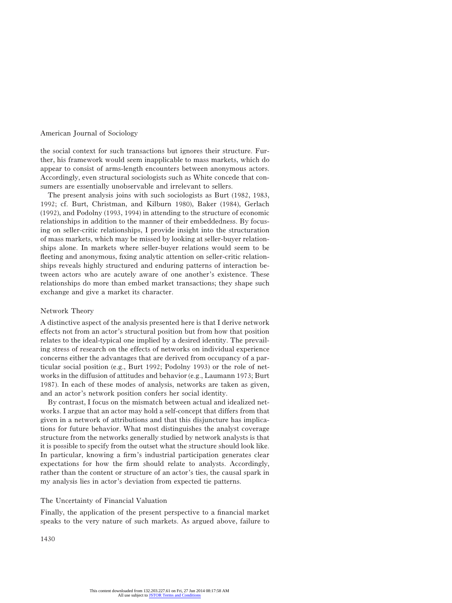the social context for such transactions but ignores their structure. Further, his framework would seem inapplicable to mass markets, which do appear to consist of arms-length encounters between anonymous actors. Accordingly, even structural sociologists such as White concede that consumers are essentially unobservable and irrelevant to sellers.

The present analysis joins with such sociologists as Burt (1982, 1983, 1992; cf. Burt, Christman, and Kilburn 1980), Baker (1984), Gerlach (1992), and Podolny (1993, 1994) in attending to the structure of economic relationships in addition to the manner of their embeddedness. By focusing on seller-critic relationships, I provide insight into the structuration of mass markets, which may be missed by looking at seller-buyer relationships alone. In markets where seller-buyer relations would seem to be fleeting and anonymous, fixing analytic attention on seller-critic relationships reveals highly structured and enduring patterns of interaction between actors who are acutely aware of one another's existence. These relationships do more than embed market transactions; they shape such exchange and give a market its character.

#### Network Theory

A distinctive aspect of the analysis presented here is that I derive network effects not from an actor's structural position but from how that position relates to the ideal-typical one implied by a desired identity. The prevailing stress of research on the effects of networks on individual experience concerns either the advantages that are derived from occupancy of a particular social position (e.g., Burt 1992; Podolny 1993) or the role of networks in the diffusion of attitudes and behavior (e.g., Laumann 1973; Burt 1987). In each of these modes of analysis, networks are taken as given, and an actor's network position confers her social identity.

By contrast, I focus on the mismatch between actual and idealized networks. I argue that an actor may hold a self-concept that differs from that given in a network of attributions and that this disjuncture has implications for future behavior. What most distinguishes the analyst coverage structure from the networks generally studied by network analysts is that it is possible to specify from the outset what the structure should look like. In particular, knowing a firm's industrial participation generates clear expectations for how the firm should relate to analysts. Accordingly, rather than the content or structure of an actor's ties, the causal spark in my analysis lies in actor's deviation from expected tie patterns.

## The Uncertainty of Financial Valuation

Finally, the application of the present perspective to a financial market speaks to the very nature of such markets. As argued above, failure to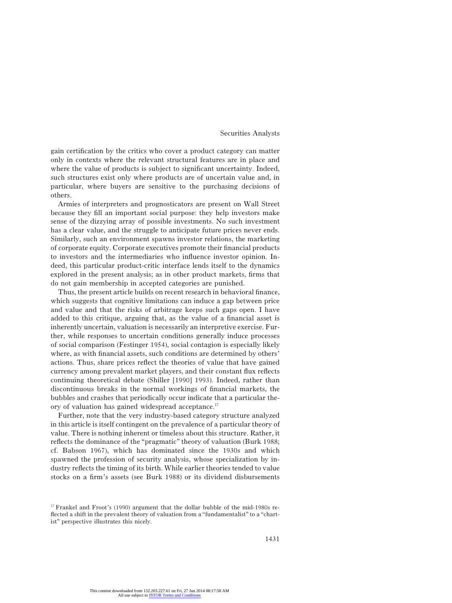gain certification by the critics who cover a product category can matter only in contexts where the relevant structural features are in place and where the value of products is subject to significant uncertainty. Indeed, such structures exist only where products are of uncertain value and, in particular, where buyers are sensitive to the purchasing decisions of others.

Armies of interpreters and prognosticators are present on Wall Street because they fill an important social purpose: they help investors make sense of the dizzying array of possible investments. No such investment has a clear value, and the struggle to anticipate future prices never ends. Similarly, such an environment spawns investor relations, the marketing of corporate equity. Corporate executives promote their financial products to investors and the intermediaries who influence investor opinion. Indeed, this particular product-critic interface lends itself to the dynamics explored in the present analysis; as in other product markets, firms that do not gain membership in accepted categories are punished.

Thus, the present article builds on recent research in behavioral finance, which suggests that cognitive limitations can induce a gap between price and value and that the risks of arbitrage keeps such gaps open. I have added to this critique, arguing that, as the value of a financial asset is inherently uncertain, valuation is necessarily an interpretive exercise. Further, while responses to uncertain conditions generally induce processes of social comparison (Festinger 1954), social contagion is especially likely where, as with financial assets, such conditions are determined by others' actions. Thus, share prices reflect the theories of value that have gained currency among prevalent market players, and their constant flux reflects continuing theoretical debate (Shiller [1990] 1993). Indeed, rather than discontinuous breaks in the normal workings of financial markets, the bubbles and crashes that periodically occur indicate that a particular theory of valuation has gained widespread acceptance.17

Further, note that the very industry-based category structure analyzed in this article is itself contingent on the prevalence of a particular theory of value. There is nothing inherent or timeless about this structure. Rather, it reflects the dominance of the "pragmatic" theory of valuation (Burk 1988; cf. Babson 1967), which has dominated since the 1930s and which spawned the profession of security analysis, whose specialization by industry reflects the timing of its birth. While earlier theories tended to value stocks on a firm's assets (see Burk 1988) or its dividend disbursements

<sup>17</sup> Frankel and Froot's (1990) argument that the dollar bubble of the mid-1980s reflected a shift in the prevalent theory of valuation from a "fundamentalist" to a "chartist" perspective illustrates this nicely.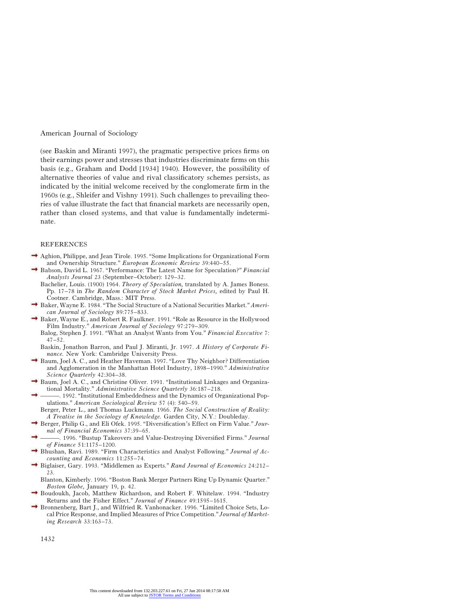(see Baskin and Miranti 1997), the pragmatic perspective prices firms on their earnings power and stresses that industries discriminate firms on this basis (e.g., Graham and Dodd [1934] 1940). However, the possibility of alternative theories of value and rival classificatory schemes persists, as indicated by the initial welcome received by the conglomerate firm in the 1960s (e.g., Shleifer and Vishny 1991). Such challenges to prevailing theories of value illustrate the fact that financial markets are necessarily open, rather than closed systems, and that value is fundamentally indeterminate.

#### REFERENCES

- Aghion, Philippe, and Jean Tirole. 1995. "Some Implications for Organizational Form and Ownership Structure." *European Economic Review* 39:440–55.
	- Babson, David L. 1967. "Performance: The Latest Name for Speculation?" *Financial Analysts Journal* 23 (September–October): 129–32.
	- Bachelier, Louis. (1900) 1964. *Theory of Speculation,* translated by A. James Boness. Pp. 17–78 in *The Random Character of Stock Market Prices,* edited by Paul H. Cootner. Cambridge, Mass.: MIT Press.
- Baker, Wayne E. 1984. "The Social Structure of a National Securities Market." *American Journal of Sociology* 89:775–833.
- Baker, Wayne E., and Robert R. Faulkner. 1991. "Role as Resource in the Hollywood Film Industry." *American Journal of Sociology* 97:279–309.
	- Balog, Stephen J. 1991. "What an Analyst Wants from You." *Financial Executive* 7: 47–52.
	- Baskin, Jonathon Barron, and Paul J. Miranti, Jr. 1997. *A History of Corporate Finance.* New York: Cambridge University Press.
- Baum, Joel A. C., and Heather Haveman. 1997. "Love Thy Neighbor? Differentiation and Agglomeration in the Manhattan Hotel Industry, 1898–1990." *Administrative Science Quarterly* 42:304–38.
- Baum, Joel A. C., and Christine Oliver. 1991. "Institutional Linkages and Organizational Mortality." *Administrative Science Quarterly* 36:187–218.
- ———. 1992. "Institutional Embeddedness and the Dynamics of Organizational Populations." *American Sociological Review* 57 (4): 540–59.
- Berger, Peter L., and Thomas Luckmann. 1966. *The Social Construction of Reality: A Treatise in the Sociology of Knowledge.* Garden City, N.Y.: Doubleday.
- Berger, Philip G., and Eli Ofek. 1995. "Diversification's Effect on Firm Value." *Journal of Financial Economics* 37:39–65.
- ———. 1996. "Bustup Takeovers and Value-Destroying Diversified Firms." *Journal of Finance* 51:1175–1200.
- Bhushan, Ravi. 1989. "Firm Characteristics and Analyst Following." *Journal of Accounting and Economics* 11:255–74.
- Biglaiser, Gary. 1993. "Middlemen as Experts." *Rand Journal of Economics* 24:212– 23.

Blanton, Kimberly. 1996. "Boston Bank Merger Partners Ring Up Dynamic Quarter." *Boston Globe,* January 19, p. 42.

- Boudoukh, Jacob, Matthew Richardson, and Robert F. Whitelaw. 1994. "Industry Returns and the Fisher Effect." *Journal of Finance* 49:1595–1615.
- Bronnenberg, Bart J., and Wilfried R. Vanhonacker. 1996. "Limited Choice Sets, Local Price Response, and Implied Measures of Price Competition." *Journal of Marketing Research* 33:163–73.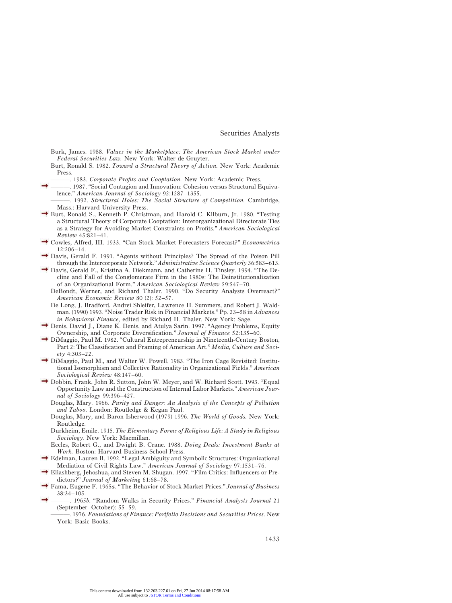Burk, James. 1988. *Values in the Marketplace: The American Stock Market under Federal Securities Law.* New York: Walter de Gruyter.

Burt, Ronald S. 1982. *Toward a Structural Theory of Action.* New York: Academic Press.

- ———. 1983. *Corporate Profits and Cooptation.* New York: Academic Press.
- ———. 1987. "Social Contagion and Innovation: Cohesion versus Structural Equivalence." *American Journal of Sociology* 92:1287–1355.
	- ———. 1992. *Structural Holes: The Social Structure of Competition.* Cambridge, Mass.: Harvard University Press.
- Burt, Ronald S., Kenneth P. Christman, and Harold C. Kilburn, Jr. 1980. "Testing a Structural Theory of Corporate Cooptation: Interorganizational Directorate Ties as a Strategy for Avoiding Market Constraints on Profits." *American Sociological Review* 45:821–41.
- Cowles, Alfred, III. 1933. "Can Stock Market Forecasters Forecast?" *Econometrica* 12:206–14.
- Davis, Gerald F. 1991. "Agents without Principles? The Spread of the Poison Pill through the Intercorporate Network." *Administrative Science Quarterly* 36:583–613.
- Davis, Gerald F., Kristina A. Diekmann, and Catherine H. Tinsley. 1994. "The Decline and Fall of the Conglomerate Firm in the 1980s: The Deinstitutionalization of an Organizational Form." *American Sociological Review* 59:547–70.
	- DeBondt, Werner, and Richard Thaler. 1990. "Do Security Analysts Overreact?" *American Economic Review* 80 (2): 52–57.
	- De Long, J. Bradford, Andrei Shleifer, Lawrence H. Summers, and Robert J. Waldman. (1990) 1993. "Noise Trader Risk in Financial Markets." Pp. 23–58 in *Advances in Behavioral Finance,* edited by Richard H. Thaler. New York: Sage.
- Denis, David J., Diane K. Denis, and Atulya Sarin. 1997. "Agency Problems, Equity Ownership, and Corporate Diversification." *Journal of Finance* 52:135–60.
- DiMaggio, Paul M. 1982. "Cultural Entrepreneurship in Nineteenth-Century Boston, Part 2: The Classification and Framing of American Art." *Media, Culture and Society* 4:303–22.
- DiMaggio, Paul M., and Walter W. Powell. 1983. "The Iron Cage Revisited: Institutional Isomorphism and Collective Rationality in Organizational Fields." *American Sociological Review* 48:147–60.
- Dobbin, Frank, John R. Sutton, John W. Meyer, and W. Richard Scott. 1993. "Equal Opportunity Law and the Construction of Internal Labor Markets." *American Journal of Sociology* 99:396–427.
	- Douglas, Mary. 1966. *Purity and Danger: An Analysis of the Concepts of Pollution and Taboo.* London: Routledge & Kegan Paul.
	- Douglas, Mary, and Baron Isherwood (1979) 1996. *The World of Goods.* New York: Routledge.
	- Durkheim, Emile. 1915. *The Elementary Forms of Religious Life: A Study in Religious Sociology.* New York: Macmillan.
	- Eccles, Robert G., and Dwight B. Crane. 1988. *Doing Deals: Investment Banks at Work.* Boston: Harvard Business School Press.
- Edelman, Lauren B. 1992. "Legal Ambiguity and Symbolic Structures: Organizational Mediation of Civil Rights Law." *American Journal of Sociology* 97:1531–76.
- Eliashberg, Jehoshua, and Steven M. Shugan. 1997. "Film Critics: Influencers or Predictors?" *Journal of Marketing* 61:68–78.
- Fama, Eugene F. 1965*a.* "The Behavior of Stock Market Prices." *Journal of Business* 38:34–105.
- ———. 1965*b.* "Random Walks in Security Prices." *Financial Analysts Journal* 21 (September–October): 55–59.
	- ———. 1976. *Foundations of Finance: Portfolio Decisions and Securities Prices.* New York: Basic Books.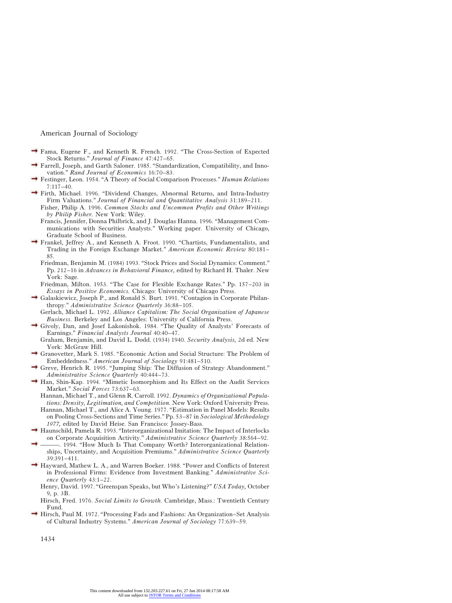- Fama, Eugene F., and Kenneth R. French. 1992. "The Cross-Section of Expected Stock Returns." *Journal of Finance* 47:427–65.
- Farrell, Joseph, and Garth Saloner. 1985. "Standardization, Compatibility, and Innovation." *Rand Journal of Economics* 16:70–83.
- Festinger, Leon. 1954. "A Theory of Social Comparison Processes." *Human Relations* 7:117–40.
- Firth, Michael. 1996. "Dividend Changes, Abnormal Returns, and Intra-Industry Firm Valuations." *Journal of Financial and Quantitative Analysis* 31:189–211.
	- Fisher, Philip A. 1996. *Common Stocks and Uncommon Profits and Other Writings by Philip Fisher.* New York: Wiley.
	- Francis, Jennifer, Donna Philbrick, and J. Douglas Hanna. 1996. "Management Communications with Securities Analysts." Working paper. University of Chicago, Graduate School of Business.
- Frankel, Jeffrey A., and Kenneth A. Froot. 1990. "Chartists, Fundamentalists, and Trading in the Foreign Exchange Market." *American Economic Review* 80:181– 85.
	- Friedman, Benjamin M. (1984) 1993. "Stock Prices and Social Dynamics: Comment." Pp. 212–16 in *Advances in Behavioral Finance,* edited by Richard H. Thaler. New York: Sage.
	- Friedman, Milton. 1953. "The Case for Flexible Exchange Rates." Pp. 157–203 in *Essays in Positive Economics.* Chicago: University of Chicago Press.
- $\rightarrow$  Galaskiewicz, Joseph P., and Ronald S. Burt. 1991. "Contagion in Corporate Philanthropy." *Administrative Science Quarterly* 36:88–105.
	- Gerlach, Michael L. 1992. *Alliance Capitalism: The Social Organization of Japanese Business.* Berkeley and Los Angeles: University of California Press.
- Givoly, Dan, and Josef Lakonishok. 1984. "The Quality of Analysts' Forecasts of Earnings." *Financial Analysts Journal* 40:40–47.
	- Graham, Benjamin, and David L. Dodd. (1934) 1940. *Security Analysis,* 2d ed. New York: McGraw Hill.
- Granovetter, Mark S. 1985. "Economic Action and Social Structure: The Problem of Embeddedness." *American Journal of Sociology* 91:481–510.
- Greve, Henrich R. 1995. "Jumping Ship: The Diffusion of Strategy Abandonment." *Administrative Science Quarterly* 40:444–73.
- $\rightarrow$  Han, Shin-Kap. 1994. "Mimetic Isomorphism and Its Effect on the Audit Services Market." *Social Forces* 73:637–63.
	- Hannan, Michael T., and Glenn R. Carroll. 1992. *Dynamics of Organizational Populations: Density, Legitimation, and Competition.* New York: Oxford University Press.
	- Hannan, Michael T., and Alice A. Young. 1977. "Estimation in Panel Models: Results on Pooling Cross-Sections and Time Series." Pp. 53–87 in *Sociological Methodology 1977,* edited by David Heise. San Francisco: Jossey-Bass.
- Haunschild, Pamela R. 1993. "Interorganizational Imitation: The Impact of Interlocks on Corporate Acquisition Activity." *Administrative Science Quarterly* 38:564–92.
- -, 1994. "How Much Is That Company Worth? Interorganizational Relationships, Uncertainty, and Acquisition Premiums." *Administrative Science Quarterly* 39:391–411.
- Hayward, Mathew L. A., and Warren Boeker. 1988. "Power and Conflicts of Interest in Professional Firms: Evidence from Investment Banking." *Administrative Science Quarterly* 43:1–22.
	- Henry, David. 1997. "Greenspan Speaks, but Who's Listening?" *USA Today,* October 9, p. 3B.
	- Hirsch, Fred. 1976. *Social Limits to Growth.* Cambridge, Mass.: Twentieth Century Fund.
- $\rightarrow$  Hirsch, Paul M. 1972. "Processing Fads and Fashions: An Organization–Set Analysis of Cultural Industry Systems." *American Journal of Sociology* 77:639–59.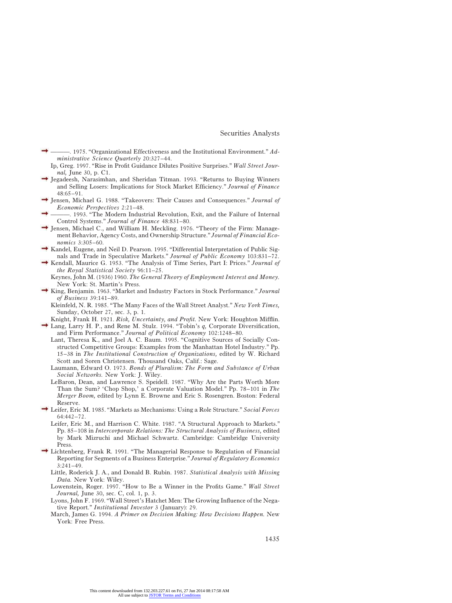- ———. 1975. "Organizational Effectiveness and the Institutional Environment." *Administrative Science Quarterly* 20:327–44.
	- Ip, Greg. 1997. "Rise in Profit Guidance Dilutes Positive Surprises." *Wall Street Journal,* June 30, p. C1.
- Jegadeesh, Narasimhan, and Sheridan Titman. 1993. "Returns to Buying Winners and Selling Losers: Implications for Stock Market Efficiency." *Journal of Finance* 48:65–91.
- Jensen, Michael G. 1988. "Takeovers: Their Causes and Consequences." *Journal of Economic Perspectives* 2:21–48.
- ———. 1993. "The Modern Industrial Revolution, Exit, and the Failure of Internal Control Systems." *Journal of Finance* 48:831–80.
- $\rightarrow$  Jensen, Michael C., and William H. Meckling. 1976. "Theory of the Firm: Management Behavior, Agency Costs, and Ownership Structure." *Journal of Financial Economics* 3:305–60.
- Kandel, Eugene, and Neil D. Pearson. 1995. "Differential Interpretation of Public Signals and Trade in Speculative Markets." *Journal of Public Economy* 103:831–72.
- Kendall, Maurice G. 1953. "The Analysis of Time Series, Part I: Prices." *Journal of the Royal Statistical Society* 96:11–25.
	- Keynes, John M. (1936) 1960. *The General Theory of Employment Interest and Money.* New York: St. Martin's Press.
- King, Benjamin. 1963. "Market and Industry Factors in Stock Performance." *Journal of Business* 39:141–89.
	- Kleinfeld, N. R. 1985. "The Many Faces of the Wall Street Analyst." *New York Times,* Sunday, October 27, sec. 3, p. 1.
- Knight, Frank H. 1921. *Risk, Uncertainty, and Profit.* New York: Houghton Mifflin. Lang, Larry H. P., and Rene M. Stulz. 1994. "Tobin's *q,* Corporate Diversification,
	- and Firm Performance." *Journal of Political Economy* 102:1248–80.
		- Lant, Theresa K., and Joel A. C. Baum. 1995. "Cognitive Sources of Socially Constructed Competitive Groups: Examples from the Manhattan Hotel Industry." Pp. 15–38 in *The Institutional Construction of Organizations,* edited by W. Richard Scott and Soren Christensen. Thousand Oaks, Calif.: Sage.
		- Laumann, Edward O. 1973. *Bonds of Pluralism: The Form and Substance of Urban Social Networks.* New York: J. Wiley.
		- LeBaron, Dean, and Lawrence S. Speidell. 1987. "Why Are the Parts Worth More Than the Sum? 'Chop Shop,' a Corporate Valuation Model." Pp. 78–101 in *The Merger Boom,* edited by Lynn E. Browne and Eric S. Rosengren. Boston: Federal Reserve.
- Leifer, Eric M. 1985. "Markets as Mechanisms: Using a Role Structure." *Social Forces* 64:442–72.
	- Leifer, Eric M., and Harrison C. White. 1987. "A Structural Approach to Markets." Pp. 85–108 in *Intercorporate Relations: The Structural Analysis of Business,* edited by Mark Mizruchi and Michael Schwartz. Cambridge: Cambridge University Press.
- Lichtenberg, Frank R. 1991. "The Managerial Response to Regulation of Financial Reporting for Segments of a Business Enterprise." *Journal of Regulatory Economics*  $3:241-49$ 
	- Little, Roderick J. A., and Donald B. Rubin. 1987. *Statistical Analysis with Missing Data.* New York: Wiley.
	- Lowenstein, Roger. 1997. "How to Be a Winner in the Profits Game." *Wall Street Journal,* June 30, sec. C, col. 1, p. 3.
	- Lyons, John F. 1969. "Wall Street's Hatchet Men: The Growing Influence of the Negative Report." *Institutional Investor* 3 (January): 29.
	- March, James G. 1994. *A Primer on Decision Making: How Decisions Happen.* New York: Free Press.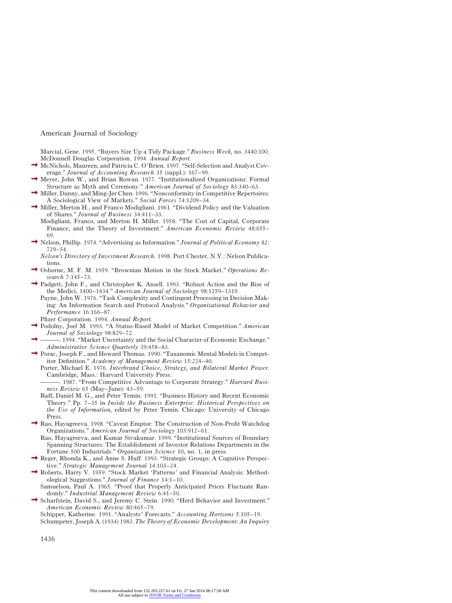Marcial, Gene. 1995. "Buyers Size Up a Tidy Package." *Business Week,* no. 3440:100. McDonnell Douglas Corporation. 1994. *Annual Report.*

- McNichols, Maureen, and Patricia C. O'Brien. 1997. "Self-Selection and Analyst Coverage." *Journal of Accounting Research* 35 (suppl.): 167–99.
- Meyer, John W., and Brian Rowan. 1977. "Institutionalized Organizations: Formal Structure as Myth and Ceremony." *American Journal of Sociology* 83:340–63.
- $\rightarrow$  Miller, Danny, and Ming-Jer Chen. 1996. "Nonconformity in Competitive Repertoires: A Sociological View of Markets." *Social Forces* 74:1209–34.
- Miller, Merton H., and Franco Modigliani. 1961. "Dividend Policy and the Valuation of Shares." *Journal of Business* 34:411–33.
	- Modigliani, Franco, and Merton H. Miller. 1958. "The Cost of Capital, Corporate Finance, and the Theory of Investment." *American Economic Review* 48:655– 69.
- Nelson, Phillip. 1974. "Advertising as Information." *Journal of Political Economy* 82: 729–54.

*Nelson's Directory of Investment Research.* 1998. Port Chester, N.Y.: Nelson Publications.

- Osborne, M. F. M. 1959. "Brownian Motion in the Stock Market." *Operations Research* 7:145–73.
- Padgett, John F., and Christopher K. Ansell. 1993. "Robust Action and the Rise of the Medici, 1400–1434." *American Journal of Sociology* 98:1259–1319.
	- Payne, John W. 1976. "Task Complexity and Contingent Processing in Decision Making: An Information Search and Protocol Analysis." *Organizational Behavior and Performance* 16:166–87.
	- Pfizer Corporation. 1994. *Annual Report.*
- Podolny, Joel M. 1993. "A Status-Based Model of Market Competition." *American Journal of Sociology* 98:829–72.
- ———. 1994. "Market Uncertainty and the Social Character of Economic Exchange." *Administrative Science Quarterly* 39:458–83.
- Porac, Joseph F., and Howard Thomas. 1990. "Taxanomic Mental Models in Competitor Definition." *Academy of Management Review* 15:224–40.
	- Porter, Michael E. 1976. *Interbrand Choice, Strategy, and Bilateral Market Power.* Cambridge, Mass.: Harvard University Press.

———. 1987. "From Competitive Advantage to Corporate Strategy." *Harvard Business Review* 65 (May–June): 43–59.

- Raff, Daniel M. G., and Peter Temin. 1991. "Business History and Recent Economic Theory." Pp. 7–35 in *Inside the Business Enterprise: Historical Perspectives on the Use of Information,* edited by Peter Temin. Chicago: University of Chicago Press.
- Rao, Hayagreeva. 1998. "Caveat Emptor: The Construction of Non-Profit Watchdog Organizations." *American Journal of Sociology* 103:912–61.
	- Rao, Hayagreeva, and Kumar Sivakumar. 1999. "Institutional Sources of Boundary Spanning Structures: The Establishment of Investor Relations Departments in the Fortune 500 Industrials." *Organization Science* 10, no. 1, in press.
- Reger, Rhonda K., and Anne S. Huff. 1993. "Strategic Groups: A Cognitive Perspective." *Strategic Management Journal* 14:103–24.
- Roberts, Harry V. 1959. "Stock Market 'Patterns' and Financial Analysis: Methodological Suggestions." *Journal of Finance* 14:1–10.
- Samuelson, Paul A. 1965. "Proof that Properly Anticipated Prices Fluctuate Randomly." *Industrial Management Review* 6:41–50.
- Scharfstein, David S., and Jeremy C. Stein. 1990. "Herd Behavior and Investment." *American Economic Review* 80:465–79.

Schipper, Katherine. 1991. "Analysts' Forecasts." *Accounting Horizons* 5:105–19. Schumpeter, Joseph A. (1934) 1983. *The Theory of Economic Development: An Inquiry*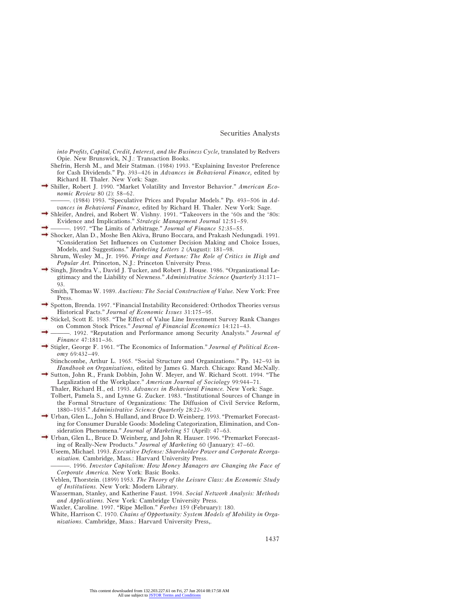*into Profits, Capital, Credit, Interest, and the Business Cycle,* translated by Redvers Opie. New Brunswick, N.J.: Transaction Books.

- Shefrin, Hersh M., and Meir Statman. (1984) 1993. "Explaining Investor Preference for Cash Dividends." Pp. 393–426 in *Advances in Behavioral Finance,* edited by Richard H. Thaler. New York: Sage.
- Shiller, Robert J. 1990. "Market Volatility and Investor Behavior." *American Economic Review* 80 (2): 58–62.

———. (1984) 1993. "Speculative Prices and Popular Models." Pp. 493–506 in *Advances in Behavioral Finance,* edited by Richard H. Thaler. New York: Sage.

- Shleifer, Andrei, and Robert W. Vishny. 1991. "Takeovers in the '60s and the '80s: Evidence and Implications." *Strategic Management Journal* 12:51–59.
- ———. 1997. "The Limits of Arbitrage." *Journal of Finance* 52:35–55.
- Shocker, Alan D., Moshe Ben Akiva, Bruno Boccara, and Prakash Nedungadi. 1991. "Consideration Set Influences on Customer Decision Making and Choice Issues, Models, and Suggestions." *Marketing Letters* 2 (August): 181–98.
	- Shrum, Wesley M., Jr. 1996. *Fringe and Fortune: The Role of Critics in High and Popular Art.* Princeton, N.J.: Princeton University Press.
- $\rightarrow$  Singh, Jitendra V., David J. Tucker, and Robert J. House. 1986. "Organizational Legitimacy and the Liability of Newness." *Administrative Science Quarterly* 31:171– 93.
	- Smith, Thomas W. 1989. *Auctions: The Social Construction of Value.* New York: Free Press.
- Spotton, Brenda. 1997. "Financial Instability Reconsidered: Orthodox Theories versus Historical Facts." *Journal of Economic Issues* 31:175–95.
- Stickel, Scott E. 1985. "The Effect of Value Line Investment Survey Rank Changes on Common Stock Prices." *Journal of Financial Economics* 14:121–43.
- ———. 1992. "Reputation and Performance among Security Analysts." *Journal of Finance* 47:1811–36.
- Stigler, George F. 1961. "The Economics of Information." *Journal of Political Economy* 69:432–49.
	- Stinchcombe, Arthur L. 1965. "Social Structure and Organizations." Pp. 142–93 in *Handbook on Organizations,* edited by James G. March. Chicago: Rand McNally.
- Sutton, John R., Frank Dobbin, John W. Meyer, and W. Richard Scott. 1994. "The Legalization of the Workplace." *American Journal of Sociology* 99:944–71.
	- Thaler, Richard H., ed. 1993. *Advances in Behavioral Finance.* New York: Sage.
	- Tolbert, Pamela S., and Lynne G. Zucker. 1983. "Institutional Sources of Change in the Formal Structure of Organizations: The Diffusion of Civil Service Reform, 1880–1935." *Administrative Science Quarterly* 28:22–39.
- Urban, Glen L., John S. Hulland, and Bruce D. Weinberg. 1993. "Premarket Forecasting for Consumer Durable Goods: Modeling Categorization, Elimination, and Consideration Phenomena." *Journal of Marketing* 57 (April): 47–63.
- Urban, Glen L., Bruce D. Weinberg, and John R. Hauser. 1996. "Premarket Forecasting of Really-New Products." *Journal of Marketing* 60 (January): 47–60.
	- Useem, Michael. 1993. *Executive Defense: Shareholder Power and Corporate Reorganization.* Cambridge, Mass.: Harvard University Press.
	- ———. 1996. *Investor Capitalism: How Money Managers are Changing the Face of Corporate America.* New York: Basic Books.
	- Veblen, Thorstein. (1899) 1953. *The Theory of the Leisure Class: An Economic Study of Institutions.* New York: Modern Library.
	- Wasserman, Stanley, and Katherine Faust. 1994. *Social Network Analysis: Methods and Applications.* New York: Cambridge University Press.
	- Waxler, Caroline. 1997. "Ripe Mellon." *Forbes* 159 (February): 180.
	- White, Harrison C. 1970. *Chains of Opportunity: System Models of Mobility in Organizations.* Cambridge, Mass.: Harvard University Press,.